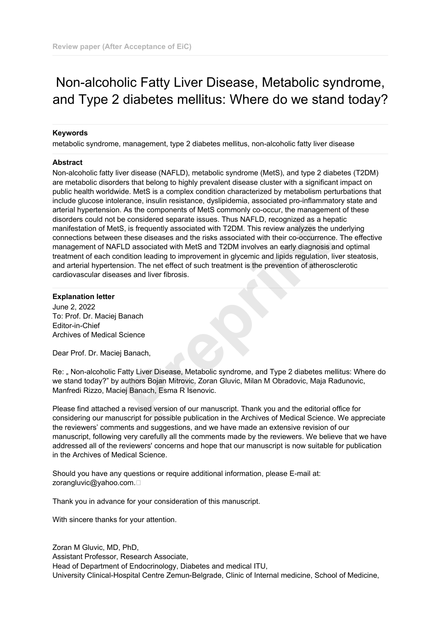# Non-alcoholic Fatty Liver Disease, Metabolic syndrome, and Type 2 diabetes mellitus: Where do we stand today?

#### **Keywords**

metabolic syndrome, management, type 2 diabetes mellitus, non-alcoholic fatty liver disease

#### **Abstract**

Non-alcoholic fatty liver disease (NAFLD), metabolic syndrome (MetS), and type 2 diabetes (T2DM) are metabolic disorders that belong to highly prevalent disease cluster with a significant impact on public health worldwide. MetS is a complex condition characterized by metabolism perturbations that include glucose intolerance, insulin resistance, dyslipidemia, associated pro-inflammatory state and arterial hypertension. As the components of MetS commonly co-occur, the management of these disorders could not be considered separate issues. Thus NAFLD, recognized as a hepatic manifestation of MetS, is frequently associated with T2DM. This review analyzes the underlying connections between these diseases and the risks associated with their co-occurrence. The effective management of NAFLD associated with MetS and T2DM involves an early diagnosis and optimal treatment of each condition leading to improvement in glycemic and lipids regulation, liver steatosis, and arterial hypertension. The net effect of such treatment is the prevention of atherosclerotic cardiovascular diseases and liver fibrosis. **Propertional Synthetic Synthetic Synthetic Synthetic Synthetic Synthetic Synthetic Synthetic Interactions are these diseases and the risks associated with their co-occurrence<br>
ID associated with MetS and T2DM involves an** 

## **Explanation letter**

June 2, 2022 To: Prof. Dr. Maciej Banach Editor-in-Chief Archives of Medical Science

Dear Prof. Dr. Maciej Banach,

Re: " Non-alcoholic Fatty Liver Disease, Metabolic syndrome, and Type 2 diabetes mellitus: Where do we stand today?" by authors Bojan Mitrovic, Zoran Gluvic, Milan M Obradovic, Maja Radunovic, Manfredi Rizzo, Maciej Banach, Esma R Isenovic.

Please find attached a revised version of our manuscript. Thank you and the editorial office for considering our manuscript for possible publication in the Archives of Medical Science. We appreciate the reviewers' comments and suggestions, and we have made an extensive revision of our manuscript, following very carefully all the comments made by the reviewers. We believe that we have addressed all of the reviewers' concerns and hope that our manuscript is now suitable for publication in the Archives of Medical Science.

Should you have any questions or require additional information, please E-mail at: zorangluvic@yahoo.com. 

Thank you in advance for your consideration of this manuscript.

With sincere thanks for your attention.

Zoran M Gluvic, MD, PhD, Assistant Professor, Research Associate, Head of Department of Endocrinology, Diabetes and medical ITU, University Clinical-Hospital Centre Zemun-Belgrade, Clinic of Internal medicine, School of Medicine,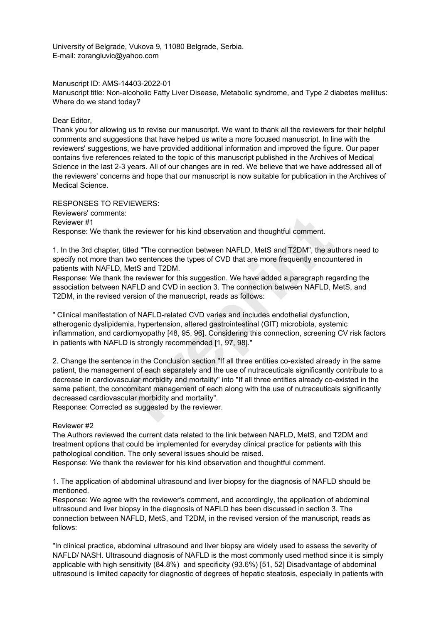University of Belgrade, Vukova 9, 11080 Belgrade, Serbia. E-mail: zorangluvic@yahoo.com

Manuscript ID: AMS-14403-2022-01

Manuscript title: Non-alcoholic Fatty Liver Disease, Metabolic syndrome, and Type 2 diabetes mellitus: Where do we stand today?

#### Dear Editor,

Thank you for allowing us to revise our manuscript. We want to thank all the reviewers for their helpful comments and suggestions that have helped us write a more focused manuscript. In line with the reviewers' suggestions, we have provided additional information and improved the figure. Our paper contains five references related to the topic of this manuscript published in the Archives of Medical Science in the last 2-3 years. All of our changes are in red. We believe that we have addressed all of the reviewers' concerns and hope that our manuscript is now suitable for publication in the Archives of Medical Science.

RESPONSES TO REVIEWERS: Reviewers' comments: Reviewer #1 Response: We thank the reviewer for his kind observation and thoughtful comment.

1. In the 3rd chapter, titled "The connection between NAFLD, MetS and T2DM", the authors need to specify not more than two sentences the types of CVD that are more frequently encountered in patients with NAFLD, MetS and T2DM.

Response: We thank the reviewer for this suggestion. We have added a paragraph regarding the association between NAFLD and CVD in section 3. The connection between NAFLD, MetS, and T2DM, in the revised version of the manuscript, reads as follows:

" Clinical manifestation of NAFLD-related CVD varies and includes endothelial dysfunction, atherogenic dyslipidemia, hypertension, altered gastrointestinal (GIT) microbiota, systemic inflammation, and cardiomyopathy [48, 95, 96]. Considering this connection, screening CV risk factors in patients with NAFLD is strongly recommended [1, 97, 98]."

2. Change the sentence in the Conclusion section "If all three entities co-existed already in the same patient, the management of each separately and the use of nutraceuticals significantly contribute to a decrease in cardiovascular morbidity and mortality" into "If all three entities already co-existed in the same patient, the concomitant management of each along with the use of nutraceuticals significantly decreased cardiovascular morbidity and mortality". The reviewer for his kind observation and thoughtful comment.<br>
Itiled "The connection between NAFLD, MetS and T2DM", the au<br>
two sentences the types of CVD that are more frequently encountedS and T2DM.<br>
MetS and T2DM.<br>
Met

Response: Corrected as suggested by the reviewer.

## Reviewer #2

The Authors reviewed the current data related to the link between NAFLD, MetS, and T2DM and treatment options that could be implemented for everyday clinical practice for patients with this pathological condition. The only several issues should be raised.

Response: We thank the reviewer for his kind observation and thoughtful comment.

1. The application of abdominal ultrasound and liver biopsy for the diagnosis of NAFLD should be mentioned.

Response: We agree with the reviewer's comment, and accordingly, the application of abdominal ultrasound and liver biopsy in the diagnosis of NAFLD has been discussed in section 3. The connection between NAFLD, MetS, and T2DM, in the revised version of the manuscript, reads as follows:

"In clinical practice, abdominal ultrasound and liver biopsy are widely used to assess the severity of NAFLD/ NASH. Ultrasound diagnosis of NAFLD is the most commonly used method since it is simply applicable with high sensitivity (84.8%) and specificity (93.6%) [51, 52] Disadvantage of abdominal ultrasound is limited capacity for diagnostic of degrees of hepatic steatosis, especially in patients with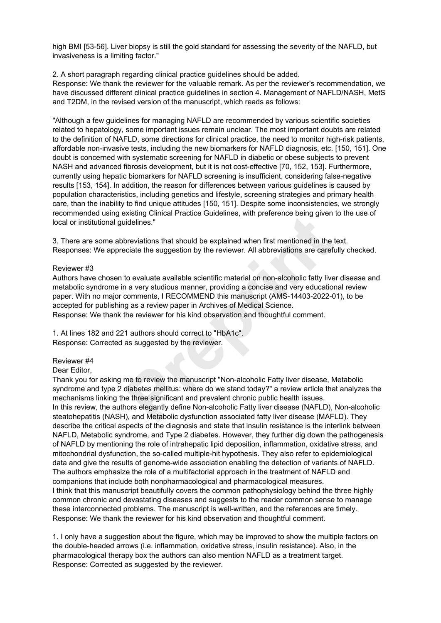high BMI [53-56]. Liver biopsy is still the gold standard for assessing the severity of the NAFLD, but invasiveness is a limiting factor."

#### 2. A short paragraph regarding clinical practice guidelines should be added.

Response: We thank the reviewer for the valuable remark. As per the reviewer's recommendation, we have discussed different clinical practice guidelines in section 4. Management of NAFLD/NASH, MetS and T2DM, in the revised version of the manuscript, which reads as follows:

"Although a few guidelines for managing NAFLD are recommended by various scientific societies related to hepatology, some important issues remain unclear. The most important doubts are related to the definition of NAFLD, some directions for clinical practice, the need to monitor high-risk patients, affordable non-invasive tests, including the new biomarkers for NAFLD diagnosis, etc. [150, 151]. One doubt is concerned with systematic screening for NAFLD in diabetic or obese subjects to prevent NASH and advanced fibrosis development, but it is not cost-effective [70, 152, 153]. Furthermore, currently using hepatic biomarkers for NAFLD screening is insufficient, considering false-negative results [153, 154]. In addition, the reason for differences between various guidelines is caused by population characteristics, including genetics and lifestyle, screening strategies and primary health care, than the inability to find unique attitudes [150, 151]. Despite some inconsistencies, we strongly recommended using existing Clinical Practice Guidelines, with preference being given to the use of local or institutional quidelines."

3. There are some abbreviations that should be explained when first mentioned in the text. Responses: We appreciate the suggestion by the reviewer. All abbreviations are carefully checked.

#### Reviewer #3

Authors have chosen to evaluate available scientific material on non-alcoholic fatty liver disease and metabolic syndrome in a very studious manner, providing a concise and very educational review paper. With no major comments, I RECOMMEND this manuscript (AMS-14403-2022-01), to be accepted for publishing as a review paper in Archives of Medical Science. Response: We thank the reviewer for his kind observation and thoughtful comment.

1. At lines 182 and 221 authors should correct to "HbA1c". Response: Corrected as suggested by the reviewer.

#### Reviewer #4

#### Dear Editor,

Thank you for asking me to review the manuscript "Non-alcoholic Fatty liver disease, Metabolic syndrome and type 2 diabetes mellitus: where do we stand today?" a review article that analyzes the mechanisms linking the three significant and prevalent chronic public health issues. In this review, the authors elegantly define Non-alcoholic Fatty liver disease (NAFLD), Non-alcoholic steatohepatitis (NASH), and Metabolic dysfunction associated fatty liver disease (MAFLD). They describe the critical aspects of the diagnosis and state that insulin resistance is the interlink between NAFLD, Metabolic syndrome, and Type 2 diabetes. However, they further dig down the pathogenesis of NAFLD by mentioning the role of intrahepatic lipid deposition, inflammation, oxidative stress, and mitochondrial dysfunction, the so-called multiple-hit hypothesis. They also refer to epidemiological data and give the results of genome-wide association enabling the detection of variants of NAFLD. The authors emphasize the role of a multifactorial approach in the treatment of NAFLD and companions that include both nonpharmacological and pharmacological measures. I think that this manuscript beautifully covers the common pathophysiology behind the three highly common chronic and devastating diseases and suggests to the reader common sense to manage these interconnected problems. The manuscript is well-written, and the references are timely. Response: We thank the reviewer for his kind observation and thoughtful comment. Existing Clinical Practice Guidelines, with preference being given<br>idelines."<br>
Diversitions that should be explained when first mentioned in the teciate the suggestion by the reviewer. All abbreviations are careful<br>
to eva

1. I only have a suggestion about the figure, which may be improved to show the multiple factors on the double-headed arrows (i.e. inflammation, oxidative stress, insulin resistance). Also, in the pharmacological therapy box the authors can also mention NAFLD as a treatment target. Response: Corrected as suggested by the reviewer.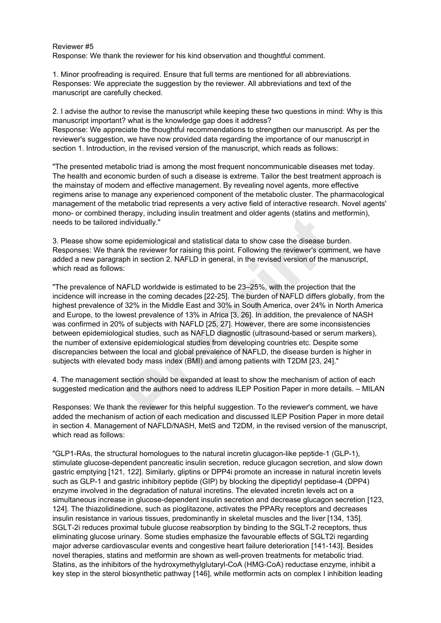### Reviewer #5

Response: We thank the reviewer for his kind observation and thoughtful comment.

1. Minor proofreading is required. Ensure that full terms are mentioned for all abbreviations. Responses: We appreciate the suggestion by the reviewer. All abbreviations and text of the manuscript are carefully checked.

2. I advise the author to revise the manuscript while keeping these two questions in mind: Why is this manuscript important? what is the knowledge gap does it address? Response: We appreciate the thoughtful recommendations to strengthen our manuscript. As per the reviewer's suggestion, we have now provided data regarding the importance of our manuscript in section 1. Introduction, in the revised version of the manuscript, which reads as follows:

"The presented metabolic triad is among the most frequent noncommunicable diseases met today. The health and economic burden of such a disease is extreme. Tailor the best treatment approach is the mainstay of modern and effective management. By revealing novel agents, more effective regimens arise to manage any experienced component of the metabolic cluster. The pharmacological management of the metabolic triad represents a very active field of interactive research. Novel agents' mono- or combined therapy, including insulin treatment and older agents (statins and metformin), needs to be tailored individually."

3. Please show some epidemiological and statistical data to show case the disease burden. Responses: We thank the reviewer for raising this point. Following the reviewer's comment, we have added a new paragraph in section 2. NAFLD in general, in the revised version of the manuscript, which read as follows:

"The prevalence of NAFLD worldwide is estimated to be 23–25%, with the projection that the incidence will increase in the coming decades [22-25]. The burden of NAFLD differs globally, from the highest prevalence of 32% in the Middle East and 30% in South America, over 24% in North America and Europe, to the lowest prevalence of 13% in Africa [3, 26]. In addition, the prevalence of NASH was confirmed in 20% of subjects with NAFLD [25, 27]. However, there are some inconsistencies between epidemiological studies, such as NAFLD diagnostic (ultrasound-based or serum markers), the number of extensive epidemiological studies from developing countries etc. Despite some discrepancies between the local and global prevalence of NAFLD, the disease burden is higher in subjects with elevated body mass index (BMI) and among patients with T2DM [23, 24]." erapy, including insulin treatment and otder agents (statins and r<br>dividually."<br>epidemiological and statistical data to show case the disease bu<br>the reviewer for raising this point. Following the reviewer's comm<br>h in secti

4. The management section should be expanded at least to show the mechanism of action of each suggested medication and the authors need to address ILEP Position Paper in more details. – MILAN

Responses: We thank the reviewer for this helpful suggestion. To the reviewer's comment, we have added the mechanism of action of each medication and discussed ILEP Position Paper in more detail in section 4. Management of NAFLD/NASH, MetS and T2DM, in the revised version of the manuscript, which read as follows:

"GLP1-RAs, the structural homologues to the natural incretin glucagon-like peptide-1 (GLP-1), stimulate glucose-dependent pancreatic insulin secretion, reduce glucagon secretion, and slow down gastric emptying [121, 122]. Similarly, gliptins or DPP4i promote an increase in natural incretin levels such as GLP-1 and gastric inhibitory peptide (GIP) by blocking the dipeptidyl peptidase-4 (DPP4) enzyme involved in the degradation of natural incretins. The elevated incretin levels act on a simultaneous increase in glucose-dependent insulin secretion and decrease glucagon secretion [123, 124]. The thiazolidinedione, such as pioglitazone, activates the PPAR<sub>V</sub> receptors and decreases insulin resistance in various tissues, predominantly in skeletal muscles and the liver [134, 135]. SGLT-2i reduces proximal tubule glucose reabsorption by binding to the SGLT-2 receptors, thus eliminating glucose urinary. Some studies emphasize the favourable effects of SGLT2i regarding major adverse cardiovascular events and congestive heart failure deterioration [141-143]. Besides novel therapies, statins and metformin are shown as well-proven treatments for metabolic triad. Statins, as the inhibitors of the hydroxymethylglutaryl-CoA (HMG-CoA) reductase enzyme, inhibit a key step in the sterol biosynthetic pathway [146], while metformin acts on complex I inhibition leading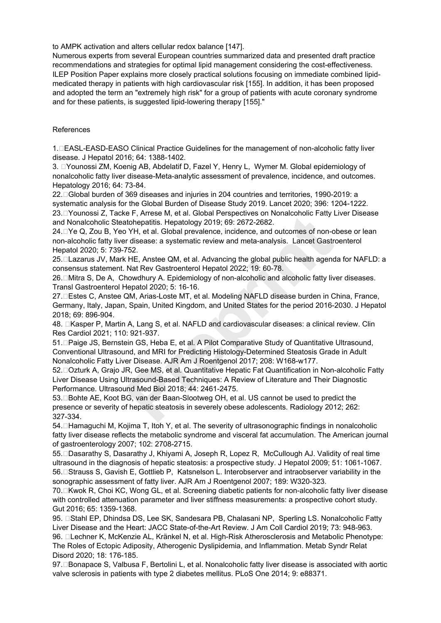to AMPK activation and alters cellular redox balance [147].

Numerous experts from several European countries summarized data and presented draft practice recommendations and strategies for optimal lipid management considering the cost-effectiveness. ILEP Position Paper explains more closely practical solutions focusing on immediate combined lipidmedicated therapy in patients with high cardiovascular risk [155]. In addition, it has been proposed and adopted the term an "extremely high risk" for a group of patients with acute coronary syndrome and for these patients, is suggested lipid-lowering therapy [155]."

#### References

1. EASL-EASD-EASO Clinical Practice Guidelines for the management of non-alcoholic fatty liver disease. J Hepatol 2016; 64: 1388-1402.

3. □Younossi ZM, Koenig AB, Abdelatif D, Fazel Y, Henry L, Wymer M, Global epidemiology of nonalcoholic fatty liver disease-Meta-analytic assessment of prevalence, incidence, and outcomes. Hepatology 2016; 64: 73-84.

22. Global burden of 369 diseases and injuries in 204 countries and territories, 1990-2019: a systematic analysis for the Global Burden of Disease Study 2019. Lancet 2020; 396: 1204-1222. 23. ⊡Younossi Z, Tacke F, Arrese M, et al. Global Perspectives on Nonalcoholic Fatty Liver Disease and Nonalcoholic Steatohepatitis. Hepatology 2019; 69: 2672-2682.

24. □Ye Q, Zou B, Yeo YH, et al. Global prevalence, incidence, and outcomes of non-obese or lean non-alcoholic fatty liver disease: a systematic review and meta-analysis. Lancet Gastroenterol Hepatol 2020; 5: 739-752. er P, Airese M, et al. Global Perspectives on involutioninc Patty<br>
1 YH, et al. Global prevalence, incidence, and outcomes of non-or<br>
1 YH, et al. Global prevalence, incidence, and outcomes of non-or<br>
1 THE, Anstee QM, et

25.□Lazarus JV, Mark HE, Anstee QM, et al. Advancing the global public health agenda for NAFLD: a consensus statement. Nat Rev Gastroenterol Hepatol 2022; 19: 60-78.

26. □ Mitra S, De A, Chowdhury A. Epidemiology of non-alcoholic and alcoholic fatty liver diseases. Transl Gastroenterol Hepatol 2020; 5: 16-16.

27. Estes C, Anstee QM, Arias-Loste MT, et al. Modeling NAFLD disease burden in China, France, Germany, Italy, Japan, Spain, United Kingdom, and United States for the period 2016-2030. J Hepatol 2018; 69: 896-904.

48. **EXasper P, Martin A, Lang S, et al. NAFLD and cardiovascular diseases: a clinical review. Clin** Res Cardiol 2021; 110: 921-937.

51.⊡Paige JS, Bernstein GS, Heba E, et al. A Pilot Comparative Study of Quantitative Ultrasound, Conventional Ultrasound, and MRI for Predicting Histology-Determined Steatosis Grade in Adult Nonalcoholic Fatty Liver Disease. AJR Am J Roentgenol 2017; 208: W168-w177.

52.□Ozturk A, Grajo JR, Gee MS, et al. Quantitative Hepatic Fat Quantification in Non-alcoholic Fatty Liver Disease Using Ultrasound-Based Techniques: A Review of Literature and Their Diagnostic Performance. Ultrasound Med Biol 2018; 44: 2461-2475.

53.□Bohte AE, Koot BG, van der Baan-Slootweg OH, et al. US cannot be used to predict the presence or severity of hepatic steatosis in severely obese adolescents. Radiology 2012; 262: 327-334.

54.□Hamaguchi M, Kojima T, Itoh Y, et al. The severity of ultrasonographic findings in nonalcoholic fatty liver disease reflects the metabolic syndrome and visceral fat accumulation. The American journal of gastroenterology 2007; 102: 2708-2715.

55.⊡Dasarathy S, Dasarathy J, Khiyami A, Joseph R, Lopez R, McCullough AJ. Validity of real time ultrasound in the diagnosis of hepatic steatosis: a prospective study. J Hepatol 2009; 51: 1061-1067. 56.□Strauss S, Gavish E, Gottlieb P, Katsnelson L. Interobserver and intraobserver variability in the sonographic assessment of fatty liver. AJR Am J Roentgenol 2007; 189: W320-323.

70. □Kwok R, Choi KC, Wong GL, et al. Screening diabetic patients for non-alcoholic fatty liver disease with controlled attenuation parameter and liver stiffness measurements: a prospective cohort study. Gut 2016; 65: 1359-1368.

95. **Stahl EP, Dhindsa DS, Lee SK, Sandesara PB, Chalasani NP, Sperling LS. Nonalcoholic Fatty** Liver Disease and the Heart: JACC State-of-the-Art Review. J Am Coll Cardiol 2019; 73: 948-963. 96.  $\Box$ Lechner K, McKenzie AL, Kränkel N, et al. High-Risk Atherosclerosis and Metabolic Phenotype: The Roles of Ectopic Adiposity, Atherogenic Dyslipidemia, and Inflammation. Metab Syndr Relat Disord 2020; 18: 176-185.

97.□Bonapace S, Valbusa F, Bertolini L, et al. Nonalcoholic fatty liver disease is associated with aortic valve sclerosis in patients with type 2 diabetes mellitus. PLoS One 2014; 9: e88371.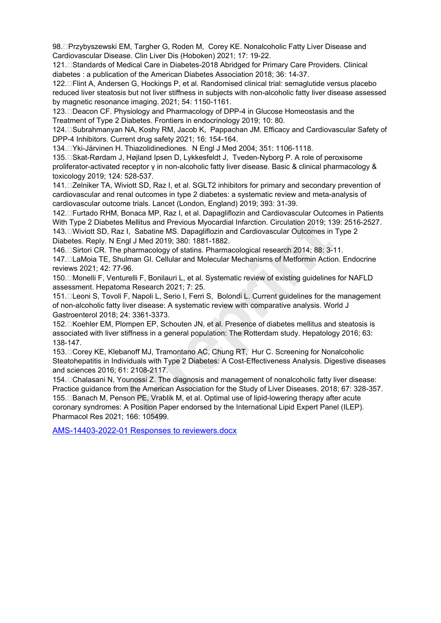98.□Przybyszewski EM, Targher G, Roden M, Corey KE. Nonalcoholic Fatty Liver Disease and Cardiovascular Disease. Clin Liver Dis (Hoboken) 2021; 17: 19-22.

121. Standards of Medical Care in Diabetes-2018 Abridged for Primary Care Providers. Clinical diabetes : a publication of the American Diabetes Association 2018; 36: 14-37.

122. Flint A, Andersen G, Hockings P, et al. Randomised clinical trial: semaglutide versus placebo reduced liver steatosis but not liver stiffness in subjects with non-alcoholic fatty liver disease assessed by magnetic resonance imaging. 2021; 54: 1150-1161.

123. □ Deacon CF. Physiology and Pharmacology of DPP-4 in Glucose Homeostasis and the Treatment of Type 2 Diabetes. Frontiers in endocrinology 2019; 10: 80.

124. Subrahmanyan NA, Koshy RM, Jacob K, Pappachan JM. Efficacy and Cardiovascular Safety of DPP-4 Inhibitors. Current drug safety 2021; 16: 154-164.

134. Yki-Järvinen H. Thiazolidinediones. N Engl J Med 2004; 351: 1106-1118.

135.□Skat-Rørdam J, Højland Ipsen D, Lykkesfeldt J, Tveden-Nyborg P. A role of peroxisome proliferator-activated receptor γ in non-alcoholic fatty liver disease. Basic & clinical pharmacology & toxicology 2019; 124: 528-537.

141. □ Zelniker TA, Wiviott SD, Raz I, et al. SGLT2 inhibitors for primary and secondary prevention of cardiovascular and renal outcomes in type 2 diabetes: a systematic review and meta-analysis of cardiovascular outcome trials. Lancet (London, England) 2019; 393: 31-39.

142. Furtado RHM, Bonaca MP, Raz I, et al. Dapagliflozin and Cardiovascular Outcomes in Patients With Type 2 Diabetes Mellitus and Previous Myocardial Infarction. Circulation 2019; 139: 2516-2527. 143. DWiviott SD, Raz I, Sabatine MS. Dapagliflozin and Cardiovascular Outcomes in Type 2 Diabetes. Reply. N Engl J Med 2019; 380: 1881-1882.

146. Sirtori CR. The pharmacology of statins. Pharmacological research 2014; 88: 3-11. 147. LaMoia TE, Shulman GI. Cellular and Molecular Mechanisms of Metformin Action. Endocrine reviews 2021; 42: 77-96.

150. □ Monelli F, Venturelli F, Bonilauri L, et al. Systematic review of existing guidelines for NAFLD assessment. Hepatoma Research 2021; 7: 25.

151. Leoni S, Tovoli F, Napoli L, Serio I, Ferri S, Bolondi L. Current guidelines for the management of non-alcoholic fatty liver disease: A systematic review with comparative analysis. World J Gastroenterol 2018; 24: 3361-3373.

152. Koehler EM, Plompen EP, Schouten JN, et al. Presence of diabetes mellitus and steatosis is associated with liver stiffness in a general population: The Rotterdam study. Hepatology 2016; 63: 138-147.

153. □ Corey KE, Klebanoff MJ, Tramontano AC, Chung RT, Hur C. Screening for Nonalcoholic Steatohepatitis in Individuals with Type 2 Diabetes: A Cost-Effectiveness Analysis. Digestive diseases and sciences 2016; 61: 2108-2117.

154.□Chalasani N, Younossi Z. The diagnosis and management of nonalcoholic fatty liver disease: Practice guidance from the American Association for the Study of Liver Diseases. 2018; 67: 328-357. 155.□Banach M, Penson PE, Vrablik M, et al. Optimal use of lipid-lowering therapy after acute coronary syndromes: A Position Paper endorsed by the International Lipid Expert Panel (ILEP). Pharmacol Res 2021; 166: 105499. 142. Thruland Nrinn, Bolinda Wir', Nacl, i.et al. Depending Individual Cultivation 2019; 13<br>With Type 2 Diabetes Mellitus and Previous Myocardial Infarction. Circulation 2019; 13<br>143. Twiviott SD, Raz I, Sabatine MS. Dapag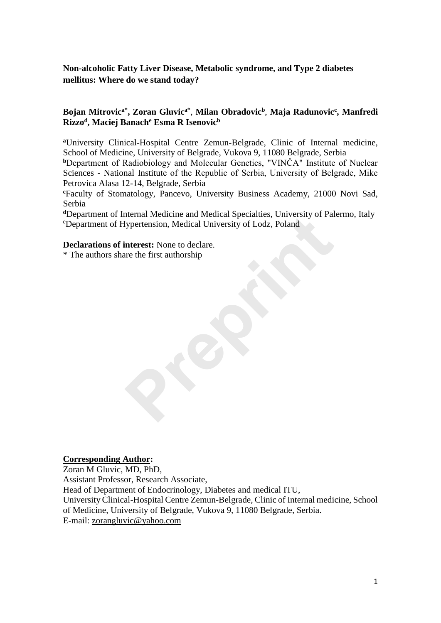# **Non-alcoholic Fatty Liver Disease, Metabolic syndrome, and Type 2 diabetes mellitus: Where do we stand today?**

## **Bojan Mitrovica\*, Zoran Gluvica\*** , **Milan Obradovic<sup>b</sup>** , **Maja Radunovic<sup>c</sup> , Manfredi Rizzo<sup>d</sup> , Maciej Banach<sup>e</sup> Esma R Isenovic<sup>b</sup>**

**<sup>a</sup>**University Clinical-Hospital Centre Zemun-Belgrade, Clinic of Internal medicine, School of Medicine, University of Belgrade, Vukova 9, 11080 Belgrade, Serbia

**<sup>b</sup>**Department of Radiobiology and Molecular Genetics, "VINČA" Institute of Nuclear Sciences - National Institute of thе Republic of Serbia, University of Belgrade, Mike Petrovica Alasa 12-14, Belgrade, Serbia

**<sup>c</sup>**Faculty of Stomatology, Pancevo, University Business Academy, 21000 Novi Sad, Serbia

**<sup>d</sup>**Department of Internal Medicine and Medical Specialties, University of Palermo, Italy <sup>e</sup>Department of Hypertension, Medical University of Lodz, Poland nternal Medicine and Medical Specialities, University of Pair<br>Iypertension, Medical University of Lodz, Poland<br>interest: None to declare.<br>ire the first authorship

## **Declarations of interest:** None to declare.

\* The authors share the first authorship

## **Corresponding Author:**

Zoran M Gluvic, MD, PhD, Assistant Professor, Research Associate, Head of Department of Endocrinology, Diabetes and medical ITU, University Clinical-Hospital Centre Zemun-Belgrade, Clinic of Internal medicine, School of Medicine, University of Belgrade, Vukova 9, 11080 Belgrade, Serbia. E-mail: zorangluvic@yahoo.com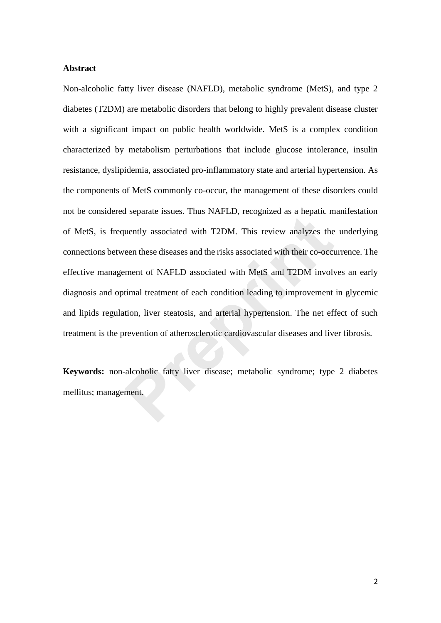## **Abstract**

Non-alcoholic fatty liver disease (NAFLD), metabolic syndrome (MetS), and type 2 diabetes (T2DM) are metabolic disorders that belong to highly prevalent disease cluster with a significant impact on public health worldwide. MetS is a complex condition characterized by metabolism perturbations that include glucose intolerance, insulin resistance, dyslipidemia, associated pro-inflammatory state and arterial hypertension. As the components of MetS commonly co-occur, the management of these disorders could not be considered separate issues. Thus NAFLD, recognized as a hepatic manifestation of MetS, is frequently associated with T2DM. This review analyzes the underlying connections between these diseases and the risks associated with their co-occurrence. The effective management of NAFLD associated with MetS and T2DM involves an early diagnosis and optimal treatment of each condition leading to improvement in glycemic and lipids regulation, liver steatosis, and arterial hypertension. The net effect of such treatment is the prevention of atherosclerotic cardiovascular diseases and liver fibrosis. met be considered separate issees. This TITLE), recognised as a neptate in<br>of MetS, is frequently associated with T2DM. This review analyzes the<br>connections between these diseases and the risks associated with their co-occ

**Keywords:** non-alcoholic fatty liver disease; metabolic syndrome; type 2 diabetes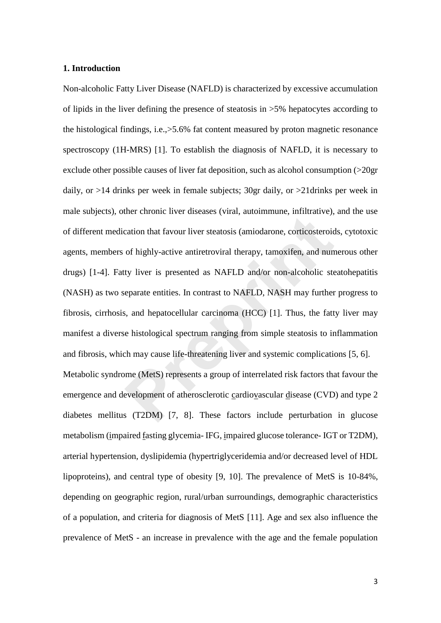## **1. Introduction**

Non-alcoholic Fatty Liver Disease (NAFLD) is characterized by excessive accumulation of lipids in the liver defining the presence of steatosis in >5% hepatocytes according to the histological findings, i.e.,>5.6% fat content measured by proton magnetic resonance spectroscopy (1H-MRS) [1]. To establish the diagnosis of NAFLD, it is necessary to exclude other possible causes of liver fat deposition, such as alcohol consumption (>20gr daily, or >14 drinks per week in female subjects; 30gr daily, or >21drinks per week in male subjects), other chronic liver diseases (viral, autoimmune, infiltrative), and the use of different medication that favour liver steatosis (amiodarone, corticosteroids, cytotoxic agents, members of highly-active antiretroviral therapy, tamoxifen, and numerous other drugs) [1-4]. Fatty liver is presented as NAFLD and/or non-alcoholic steatohepatitis (NASH) as two separate entities. In contrast to NAFLD, NASH may further progress to fibrosis, cirrhosis, and hepatocellular carcinoma (HCC) [1]. Thus, the fatty liver may manifest a diverse histological spectrum ranging from simple steatosis to inflammation and fibrosis, which may cause life-threatening liver and systemic complications [5, 6]. Metabolic syndrome (MetS) represents a group of interrelated risk factors that favour the emergence and development of atherosclerotic cardiovascular disease (CVD) and type 2 diabetes mellitus (T2DM) [7, 8]. These factors include perturbation in glucose metabolism (impaired fasting glycemia- IFG, impaired glucose tolerance- IGT or T2DM), arterial hypertension, dyslipidemia (hypertriglyceridemia and/or decreased level of HDL lipoproteins), and central type of obesity [9, 10]. The prevalence of MetS is 10-84%, depending on geographic region, rural/urban surroundings, demographic characteristics of a population, and criteria for diagnosis of MetS [11]. Age and sex also influence the prevalence of MetS - an increase in prevalence with the age and the female population relation that favour liver steatosis (amiodarone, corticosteroid<br>of highly-active antiretroviral therapy, tamoxifen, and nun<br>ty liver is presented as NAFLD and/or non-alcoholic steeparate entities. In contrast to NAFLD, NA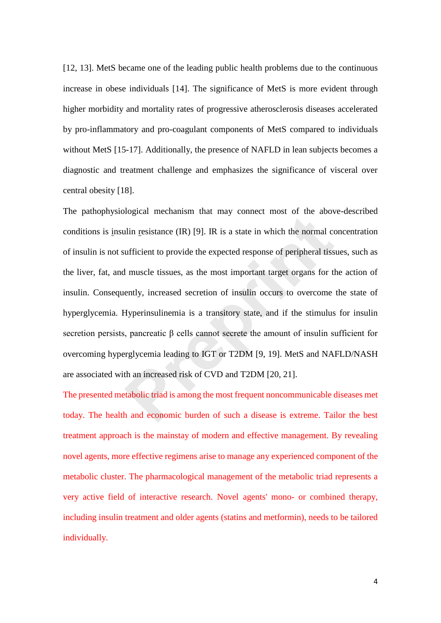[12, 13]. MetS became one of the leading public health problems due to the continuous increase in obese individuals [14]. The significance of MetS is more evident through higher morbidity and mortality rates of progressive atherosclerosis diseases accelerated by pro-inflammatory and pro-coagulant components of MetS compared to individuals without MetS [15-17]. Additionally, the presence of NAFLD in lean subjects becomes a diagnostic and treatment challenge and emphasizes the significance of visceral over central obesity [18].

The pathophysiological mechanism that may connect most of the above-described conditions is insulin resistance (IR) [9]. IR is a state in which the normal concentration of insulin is not sufficient to provide the expected response of peripheral tissues, such as the liver, fat, and muscle tissues, as the most important target organs for the action of insulin. Consequently, increased secretion of insulin occurs to overcome the state of hyperglycemia. Hyperinsulinemia is a transitory state, and if the stimulus for insulin secretion persists, pancreatic β cells cannot secrete the amount of insulin sufficient for overcoming hyperglycemia leading to IGT or T2DM [9, 19]. MetS and NAFLD/NASH are associated with an increased risk of CVD and T2DM [20, 21]. Moral metallism and may connect most of the door<br>
allin resistance (IR) [9]. IR is a state in which the normal coufficient to provide the expected response of peripheral tiss<br>
H muscle tissues, as the most important targ

The presented metabolic triad is among the most frequent noncommunicable diseases met today. The health and economic burden of such a disease is extreme. Tailor the best treatment approach is the mainstay of modern and effective management. By revealing novel agents, more effective regimens arise to manage any experienced component of the metabolic cluster. The pharmacological management of the metabolic triad represents a very active field of interactive research. Novel agents' mono- or combined therapy, including insulin treatment and older agents (statins and metformin), needs to be tailored individually.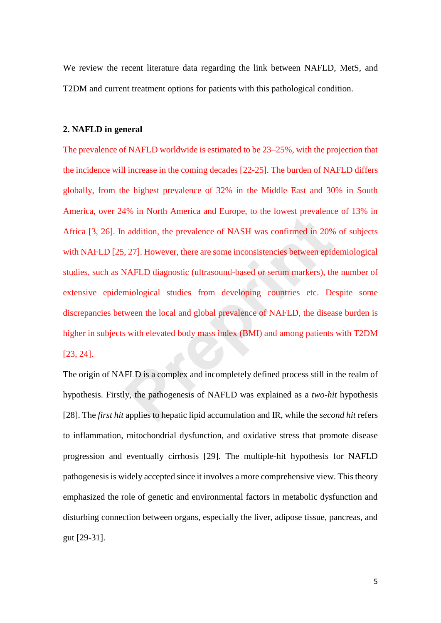We review the recent literature data regarding the link between NAFLD, MetS, and T2DM and current treatment options for patients with this pathological condition.

## **2. NAFLD in general**

The prevalence of NAFLD worldwide is estimated to be 23–25%, with the projection that the incidence will increase in the coming decades [22-25]. The burden of NAFLD differs globally, from the highest prevalence of 32% in the Middle East and 30% in South America, over 24% in North America and Europe, to the lowest prevalence of 13% in Africa [3, 26]. In addition, the prevalence of NASH was confirmed in 20% of subjects with NAFLD [25, 27]. However, there are some inconsistencies between epidemiological studies, such as NAFLD diagnostic (ultrasound-based or serum markers), the number of extensive epidemiological studies from developing countries etc. Despite some discrepancies between the local and global prevalence of NAFLD, the disease burden is higher in subjects with elevated body mass index (BMI) and among patients with T2DM [23, 24]. **Probability** and interior and Europe, to the forces probability and addition, the prevalence of NASH was confirmed in 20%, 27]. However, there are some inconsistencies between epidvalentle MAFLD diagnostic (ultrasound-bas

The origin of NAFLD is a complex and incompletely defined process still in the realm of hypothesis. Firstly, the pathogenesis of NAFLD was explained as a *two-hit* hypothesis [28]. The *first hit* applies to hepatic lipid accumulation and IR, while the *second hit* refers to inflammation, mitochondrial dysfunction, and oxidative stress that promote disease progression and eventually cirrhosis [29]. The multiple-hit hypothesis for NAFLD pathogenesis is widely accepted since it involves a more comprehensive view. This theory emphasized the role of genetic and environmental factors in metabolic dysfunction and disturbing connection between organs, especially the liver, adipose tissue, pancreas, and gut [29-31].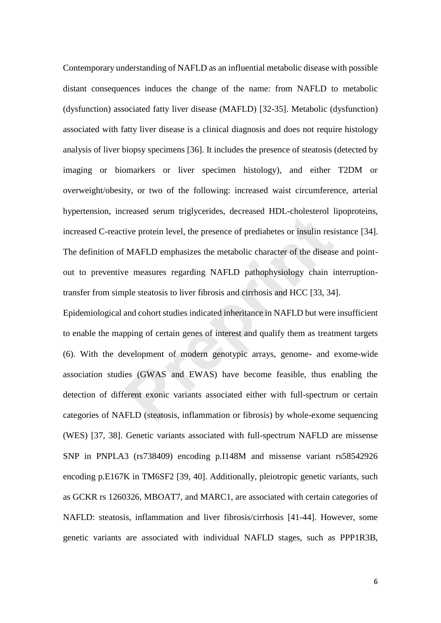Contemporary understanding of NAFLD as an influential metabolic disease with possible distant consequences induces the change of the name: from NAFLD to metabolic (dysfunction) associated fatty liver disease (MAFLD) [32-35]. Metabolic (dysfunction) associated with fatty liver disease is a clinical diagnosis and does not require histology analysis of liver biopsy specimens [36]. It includes the presence of steatosis (detected by imaging or biomarkers or liver specimen histology), and either T2DM or overweight/obesity, or two of the following: increased waist circumference, arterial hypertension, increased serum triglycerides, decreased HDL-cholesterol lipoproteins, increased C-reactive protein level, the presence of prediabetes or insulin resistance [34]. The definition of MAFLD emphasizes the metabolic character of the disease and pointout to preventive measures regarding NAFLD pathophysiology chain interruptiontransfer from simple steatosis to liver fibrosis and cirrhosis and HCC [33, 34].

Epidemiological and cohort studies indicated inheritance in NAFLD but were insufficient to enable the mapping of certain genes of interest and qualify them as treatment targets (6). With the development of modern genotypic arrays, genome- and exome-wide association studies (GWAS and EWAS) have become feasible, thus enabling the detection of different exonic variants associated either with full-spectrum or certain categories of NAFLD (steatosis, inflammation or fibrosis) by whole-exome sequencing (WES) [37, 38]. Genetic variants associated with full-spectrum NAFLD are missense SNP in PNPLA3 (rs738409) encoding p.I148M and missense variant rs58542926 encoding p.E167K in TM6SF2 [39, 40]. Additionally, pleiotropic genetic variants, such as GCKR rs 1260326, MBOAT7, and MARC1, are associated with certain categories of NAFLD: steatosis, inflammation and liver fibrosis/cirrhosis [41-44]. However, some genetic variants are associated with individual NAFLD stages, such as PPP1R3B, Freudoral Bertain ingly between, decreased TED embested Transactive protein level, the presence of prediabetes or insulin resi<br> **PREP embest in the metabolic character of the disease**<br> **PREP embest in the metabolic charact**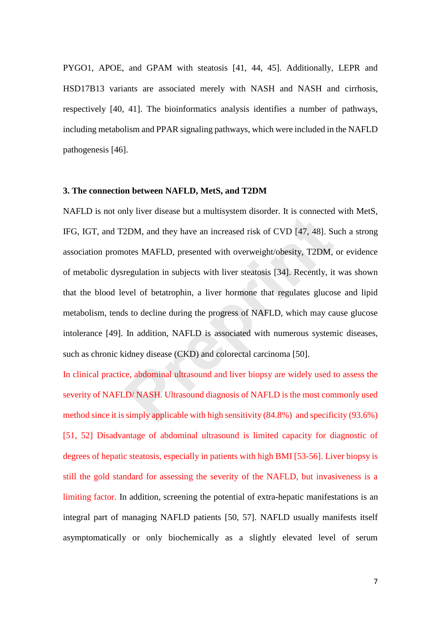PYGO1, APOE, and GPAM with steatosis [41, 44, 45]. Additionally, LEPR and HSD17B13 variants are associated merely with NASH and NASH and cirrhosis, respectively [40, 41]. The bioinformatics analysis identifies a number of pathways, including metabolism and PPAR signaling pathways, which were included in the NAFLD pathogenesis [46].

## **3. The connection between NAFLD, MetS, and T2DM**

NAFLD is not only liver disease but a multisystem disorder. It is connected with MetS, IFG, IGT, and T2DM, and they have an increased risk of CVD [47, 48]. Such a strong association promotes MAFLD, presented with overweight/obesity, T2DM, or evidence of metabolic dysregulation in subjects with liver steatosis [34]. Recently, it was shown that the blood level of betatrophin, a liver hormone that regulates glucose and lipid metabolism, tends to decline during the progress of NAFLD, which may cause glucose intolerance [49]. In addition, NAFLD is associated with numerous systemic diseases, such as chronic kidney disease (CKD) and colorectal carcinoma [50]. 2DM, and they have an increased risk of CVD [47, 48]. St<br>2DM, and they have an increased risk of CVD [47, 48]. St<br>otes MAFLD, presented with overweight/obesity, T2DM,<br>regulation in subjects with liver steatosis [34]. Recen

In clinical practice, abdominal ultrasound and liver biopsy are widely used to assess the severity of NAFLD/ NASH. Ultrasound diagnosis of NAFLD is the most commonly used method since it is simply applicable with high sensitivity (84.8%) and specificity (93.6%) [51, 52] Disadvantage of abdominal ultrasound is limited capacity for diagnostic of degrees of hepatic steatosis, especially in patients with high BMI [53-56]. Liver biopsy is still the gold standard for assessing the severity of the NAFLD, but invasiveness is a limiting factor. In addition, screening the potential of extra-hepatic manifestations is an integral part of managing NAFLD patients [50, 57]. NAFLD usually manifests itself asymptomatically or only biochemically as a slightly elevated level of serum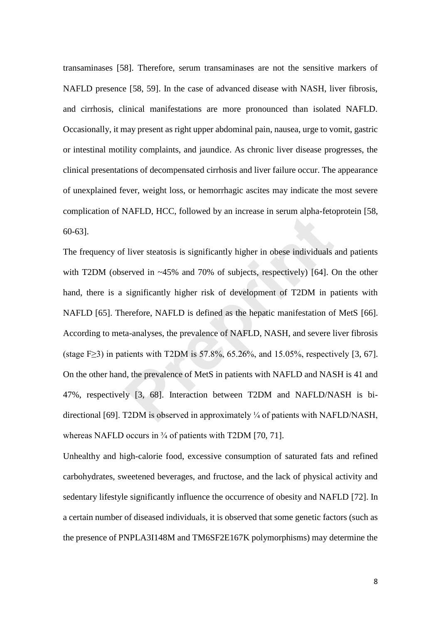transaminases [58]. Therefore, serum transaminases are not the sensitive markers of NAFLD presence [58, 59]. In the case of advanced disease with NASH, liver fibrosis, and cirrhosis, clinical manifestations are more pronounced than isolated NAFLD. Occasionally, it may present as right upper abdominal pain, nausea, urge to vomit, gastric or intestinal motility complaints, and jaundice. As chronic liver disease progresses, the clinical presentations of decompensated cirrhosis and liver failure occur. The appearance of unexplained fever, weight loss, or hemorrhagic ascites may indicate the most severe complication of NAFLD, HCC, followed by an increase in serum alpha-fetoprotein [58, 60-63].

The frequency of liver steatosis is significantly higher in obese individuals and patients with T2DM (observed in ~45% and 70% of subjects, respectively) [64]. On the other hand, there is a significantly higher risk of development of T2DM in patients with NAFLD [65]. Therefore, NAFLD is defined as the hepatic manifestation of MetS [66]. According to meta-analyses, the prevalence of NAFLD, NASH, and severe liver fibrosis (stage F≥3) in patients with T2DM is 57.8%, 65.26%, and 15.05%, respectively [3, 67]. On the other hand, the prevalence of MetS in patients with NAFLD and NASH is 41 and 47%, respectively [3, 68]. Interaction between T2DM and NAFLD/NASH is bidirectional [69]. T2DM is observed in approximately ¼ of patients with NAFLD/NASH, whereas NAFLD occurs in  $\frac{3}{4}$  of patients with T2DM [70, 71]. **Preprint**

Unhealthy and high-calorie food, excessive consumption of saturated fats and refined carbohydrates, sweetened beverages, and fructose, and the lack of physical activity and sedentary lifestyle significantly influence the occurrence of obesity and NAFLD [72]. In a certain number of diseased individuals, it is observed that some genetic factors (such as the presence of PNPLA3I148M and TM6SF2E167K polymorphisms) may determine the

8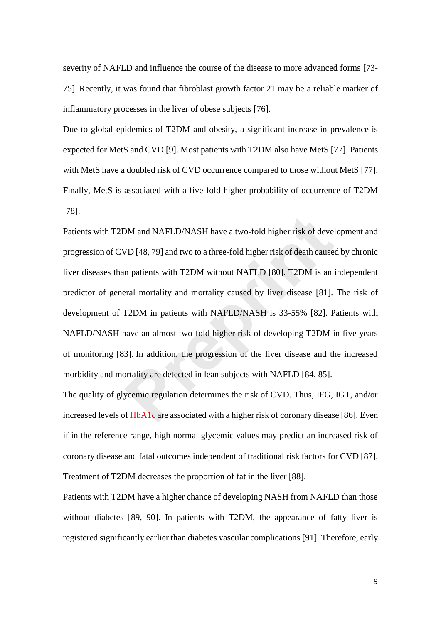severity of NAFLD and influence the course of the disease to more advanced forms [73- 75]. Recently, it was found that fibroblast growth factor 21 may be a reliable marker of inflammatory processes in the liver of obese subjects [76].

Due to global epidemics of T2DM and obesity, a significant increase in prevalence is expected for MetS and CVD [9]. Most patients with T2DM also have MetS [77]. Patients with MetS have a doubled risk of CVD occurrence compared to those without MetS [77]. Finally, MetS is associated with a five-fold higher probability of occurrence of T2DM [78].

Patients with T2DM and NAFLD/NASH have a two-fold higher risk of development and progression of CVD [48, 79] and two to a three-fold higher risk of death caused by chronic liver diseases than patients with T2DM without NAFLD [80]. T2DM is an independent predictor of general mortality and mortality caused by liver disease [81]. The risk of development of T2DM in patients with NAFLD/NASH is 33-55% [82]. Patients with NAFLD/NASH have an almost two-fold higher risk of developing T2DM in five years of monitoring [83]. In addition, the progression of the liver disease and the increased morbidity and mortality are detected in lean subjects with NAFLD [84, 85]. DM and NAFLD/NASH have a two-fold higher risk of devel<br>
VD [48, 79] and two to a three-fold higher risk of death cause<br>
n patients with T2DM without NAFLD [80]. T2DM is an<br>
real mortality and mortality caused by liver dise

The quality of glycemic regulation determines the risk of CVD. Thus, IFG, IGT, and/or increased levels of HbA1c are associated with a higher risk of coronary disease [86]. Even if in the reference range, high normal glycemic values may predict an increased risk of coronary disease and fatal outcomes independent of traditional risk factors for CVD [87]. Treatment of T2DM decreases the proportion of fat in the liver [88].

Patients with T2DM have a higher chance of developing NASH from NAFLD than those without diabetes [89, 90]. In patients with T2DM, the appearance of fatty liver is registered significantly earlier than diabetes vascular complications [91]. Therefore, early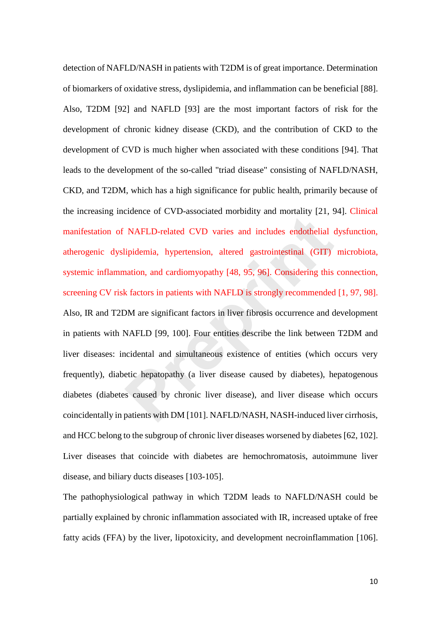detection of NAFLD/NASH in patients with T2DM is of great importance. Determination of biomarkers of oxidative stress, dyslipidemia, and inflammation can be beneficial [88]. Also, T2DM [92] and NAFLD [93] are the most important factors of risk for the development of chronic kidney disease (CKD), and the contribution of CKD to the development of CVD is much higher when associated with these conditions [94]. That leads to the development of the so-called "triad disease" consisting of NAFLD/NASH, CKD, and T2DM, which has a high significance for public health, primarily because of the increasing incidence of CVD-associated morbidity and mortality [21, 94]. Clinical manifestation of NAFLD-related CVD varies and includes endothelial dysfunction, atherogenic dyslipidemia, hypertension, altered gastrointestinal (GIT) microbiota, systemic inflammation, and cardiomyopathy [48, 95, 96]. Considering this connection, screening CV risk factors in patients with NAFLD is strongly recommended [1, 97, 98]. Also, IR and T2DM are significant factors in liver fibrosis occurrence and development in patients with NAFLD [99, 100]. Four entities describe the link between T2DM and liver diseases: incidental and simultaneous existence of entities (which occurs very frequently), diabetic hepatopathy (a liver disease caused by diabetes), hepatogenous diabetes (diabetes caused by chronic liver disease), and liver disease which occurs coincidentally in patients with DM [101]. NAFLD/NASH, NASH-induced liver cirrhosis, and HCC belong to the subgroup of chronic liver diseases worsened by diabetes [62, 102]. Liver diseases that coincide with diabetes are hemochromatosis, autoimmune liver disease, and biliary ducts diseases [103-105]. MAFLD-related CVD varies and includes endothelial (ipidemia, hypertension, altered gastrointestinal (GIT) anation, and cardiomyopathy [48, 95, 96]. Considering this k factors in patients with NAFLD is strongly recommended

The pathophysiological pathway in which T2DM leads to NAFLD/NASH could be partially explained by chronic inflammation associated with IR, increased uptake of free fatty acids (FFA) by the liver, lipotoxicity, and development necroinflammation [106].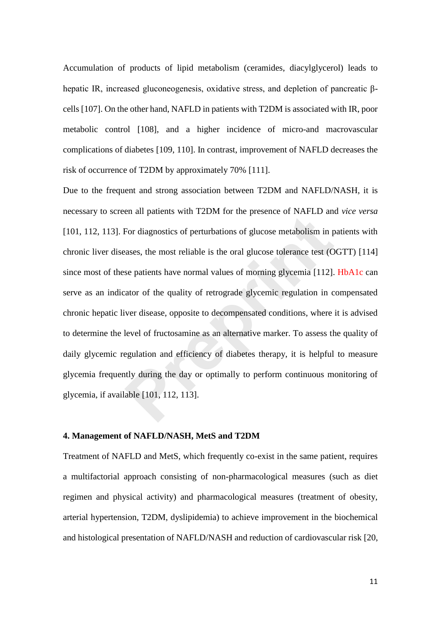Accumulation of products of lipid metabolism (ceramides, diacylglycerol) leads to hepatic IR, increased gluconeogenesis, oxidative stress, and depletion of pancreatic βcells [107]. On the other hand, NAFLD in patients with T2DM is associated with IR, poor metabolic control [108], and a higher incidence of micro-and macrovascular complications of diabetes [109, 110]. In contrast, improvement of NAFLD decreases the risk of occurrence of T2DM by approximately 70% [111].

Due to the frequent and strong association between T2DM and NAFLD/NASH, it is necessary to screen all patients with T2DM for the presence of NAFLD and *vice versa* [101, 112, 113]. For diagnostics of perturbations of glucose metabolism in patients with chronic liver diseases, the most reliable is the oral glucose tolerance test (OGTT) [114] since most of these patients have normal values of morning glycemia [112]. HbA1c can serve as an indicator of the quality of retrograde glycemic regulation in compensated chronic hepatic liver disease, opposite to decompensated conditions, where it is advised to determine the level of fructosamine as an alternative marker. To assess the quality of daily glycemic regulation and efficiency of diabetes therapy, it is helpful to measure glycemia frequently during the day or optimally to perform continuous monitoring of glycemia, if available [101, 112, 113]. For diagnostics of perturbations of glucose metabolism in passes, the most reliable is the oral glucose tolerance test (O<br>se patients have normal values of morning glycemia [112].<br>aator of the quality of retrograde glycemi

## **4. Management of NAFLD/NASH, MetS and T2DM**

Treatment of NAFLD and MetS, which frequently co-exist in the same patient, requires a multifactorial approach consisting of non-pharmacological measures (such as diet regimen and physical activity) and pharmacological measures (treatment of obesity, arterial hypertension, T2DM, dyslipidemia) to achieve improvement in the biochemical and histological presentation of NAFLD/NASH and reduction of cardiovascular risk [20,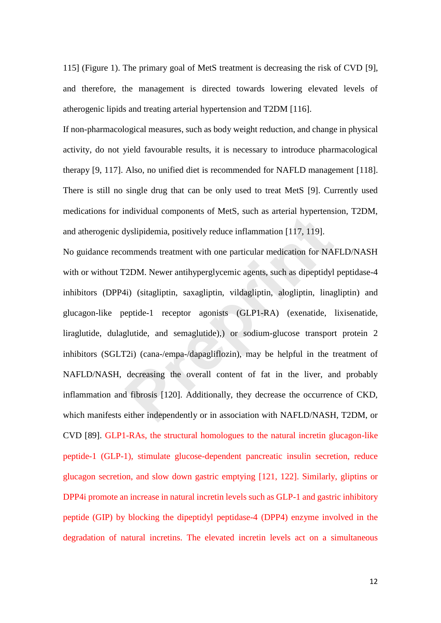115] (Figure 1). The primary goal of MetS treatment is decreasing the risk of CVD [9], and therefore, the management is directed towards lowering elevated levels of atherogenic lipids and treating arterial hypertension and T2DM [116].

If non-pharmacological measures, such as body weight reduction, and change in physical activity, do not yield favourable results, it is necessary to introduce pharmacological therapy [9, 117]. Also, no unified diet is recommended for NAFLD management [118]. There is still no single drug that can be only used to treat MetS [9]. Currently used medications for individual components of MetS, such as arterial hypertension, T2DM, and atherogenic dyslipidemia, positively reduce inflammation [117, 119].

No guidance recommends treatment with one particular medication for NAFLD/NASH with or without T2DM. Newer antihyperglycemic agents, such as dipeptidyl peptidase-4 inhibitors (DPP4i) (sitagliptin, saxagliptin, vildagliptin, alogliptin, linagliptin) and glucagon-like peptide-1 receptor agonists (GLP1-RA) (exenatide, lixisenatide, liraglutide, dulaglutide, and semaglutide),) or sodium-glucose transport protein 2 inhibitors (SGLT2i) (cana-/empa-/dapagliflozin), may be helpful in the treatment of NAFLD/NASH, decreasing the overall content of fat in the liver, and probably inflammation and fibrosis [120]. Additionally, they decrease the occurrence of CKD, which manifests either independently or in association with NAFLD/NASH, T2DM, or CVD [89]. GLP1-RAs, the structural homologues to the natural incretin glucagon-like peptide-1 (GLP-1), stimulate glucose-dependent pancreatic insulin secretion, reduce glucagon secretion, and slow down gastric emptying [121, 122]. Similarly, gliptins or DPP4i promote an increase in natural incretin levels such as GLP-1 and gastric inhibitory peptide (GIP) by blocking the dipeptidyl peptidase-4 (DPP4) enzyme involved in the degradation of natural incretins. The elevated incretin levels act on a simultaneous Haritaala components of metal, start as ariental hypotents<br>Hyslipidemia, positively reduce inflammation [117, 119].<br>
Preprime the particular medication for NA<br>
PDM. Newer antihyperglycemic agents, such as dipeptidy<br>
41) (s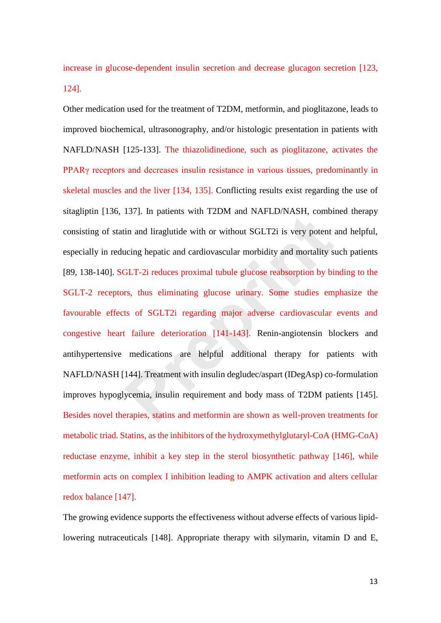increase in glucose-dependent insulin secretion and decrease glucagon secretion [123, 124].

Other medication used for the treatment of T2DM, metformin, and pioglitazone, leads to improved biochemical, ultrasonography, and/or histologic presentation in patients with NAFLD/NASH [125-133]. The thiazolidinedione, such as pioglitazone, activates the PPARγ receptors and decreases insulin resistance in various tissues, predominantly in skeletal muscles and the liver [134, 135]. Conflicting results exist regarding the use of sitagliptin [136, 137]. In patients with T2DM and NAFLD/NASH, combined therapy consisting of statin and liraglutide with or without SGLT2i is very potent and helpful, especially in reducing hepatic and cardiovascular morbidity and mortality such patients [89, 138-140]. SGLT-2i reduces proximal tubule glucose reabsorption by binding to the SGLT-2 receptors, thus eliminating glucose urinary. Some studies emphasize the favourable effects of SGLT2i regarding major adverse cardiovascular events and congestive heart failure deterioration [141-143]. Renin-angiotensin blockers and antihypertensive medications are helpful additional therapy for patients with NAFLD/NASH [144]. Treatment with insulin degludec/aspart (IDegAsp) co-formulation improves hypoglycemia, insulin requirement and body mass of T2DM patients [145]. Besides novel therapies, statins and metformin are shown as well-proven treatments for metabolic triad. Statins, as the inhibitors of the hydroxymethylglutaryl-CoA (HMG-CoA) reductase enzyme, inhibit a key step in the sterol biosynthetic pathway [146], while metformin acts on complex I inhibition leading to AMPK activation and alters cellular redox balance [147]. Fort, in patients with 1221 and 1011 2211 and 1011 2111 and in and liraglutide with or without SGLT2i is very potent accing hepatic and cardiovascular morbidity and mortality s<br> **PREPRIN and SET 21** is very potent accing h

The growing evidence supports the effectiveness without adverse effects of various lipidlowering nutraceuticals [148]. Appropriate therapy with silymarin, vitamin D and E,

13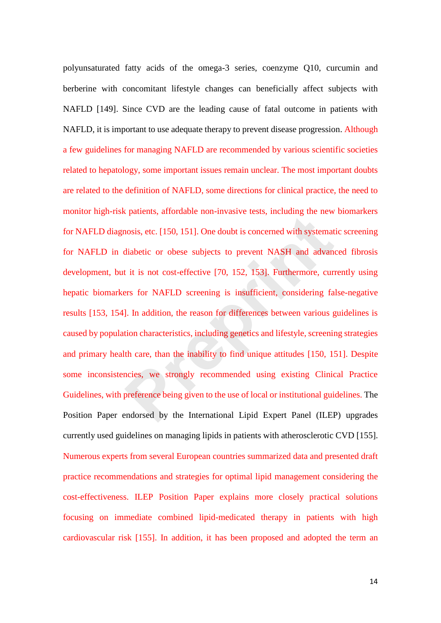polyunsaturated fatty acids of the omega-3 series, coenzyme Q10, curcumin and berberine with concomitant lifestyle changes can beneficially affect subjects with NAFLD [149]. Since CVD are the leading cause of fatal outcome in patients with NAFLD, it is important to use adequate therapy to prevent disease progression. Although a few guidelines for managing NAFLD are recommended by various scientific societies related to hepatology, some important issues remain unclear. The most important doubts are related to the definition of NAFLD, some directions for clinical practice, the need to monitor high-risk patients, affordable non-invasive tests, including the new biomarkers for NAFLD diagnosis, etc. [150, 151]. One doubt is concerned with systematic screening for NAFLD in diabetic or obese subjects to prevent NASH and advanced fibrosis development, but it is not cost-effective [70, 152, 153]. Furthermore, currently using hepatic biomarkers for NAFLD screening is insufficient, considering false-negative results [153, 154]. In addition, the reason for differences between various guidelines is caused by population characteristics, including genetics and lifestyle, screening strategies and primary health care, than the inability to find unique attitudes [150, 151]. Despite some inconsistencies, we strongly recommended using existing Clinical Practice Guidelines, with preference being given to the use of local or institutional guidelines. The Position Paper endorsed by the International Lipid Expert Panel (ILEP) upgrades currently used guidelines on managing lipids in patients with atherosclerotic CVD [155]. Numerous experts from several European countries summarized data and presented draft practice recommendations and strategies for optimal lipid management considering the cost-effectiveness. ILEP Position Paper explains more closely practical solutions focusing on immediate combined lipid-medicated therapy in patients with high cardiovascular risk [155]. In addition, it has been proposed and adopted the term an rossis, etc. [150, 151]. One doubt is concerned with systemat<br>diabetic or obese subjects to prevent NASH and advanant<br>it is not cost-effective [70, 152, 153]. Furthermore, cur-<br>ers for NAFLD screening is insufficient, cons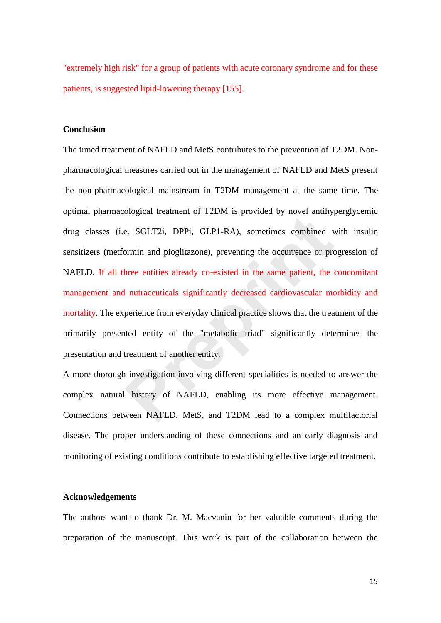"extremely high risk" for a group of patients with acute coronary syndrome and for these patients, is suggested lipid-lowering therapy [155].

## **Conclusion**

The timed treatment of NAFLD and MetS contributes to the prevention of T2DM. Nonpharmacological measures carried out in the management of NAFLD and MetS present the non-pharmacological mainstream in T2DM management at the same time. The optimal pharmacological treatment of T2DM is provided by novel antihyperglycemic drug classes (i.e. SGLT2i, DPPi, GLP1-RA), sometimes combined with insulin sensitizers (metformin and pioglitazone), preventing the occurrence or progression of NAFLD. If all three entities already co-existed in the same patient, the concomitant management and nutraceuticals significantly decreased cardiovascular morbidity and mortality. The experience from everyday clinical practice shows that the treatment of the primarily presented entity of the "metabolic triad" significantly determines the presentation and treatment of another entity. e. SGLT2i, DPPi, GLP1-RA), sometimes combined v<br>ormin and pioglitazone), preventing the occurrence or pro-<br>three entities already co-existed in the same patient, the is<br>nutraceuticals significantly decreased cardiovascular

A more thorough investigation involving different specialities is needed to answer the complex natural history of NAFLD, enabling its more effective management. Connections between NAFLD, MetS, and T2DM lead to a complex multifactorial disease. The proper understanding of these connections and an early diagnosis and monitoring of existing conditions contribute to establishing effective targeted treatment.

#### **Acknowledgements**

The authors want to thank Dr. M. Macvanin for her valuable comments during the preparation of the manuscript. This work is part of the collaboration between the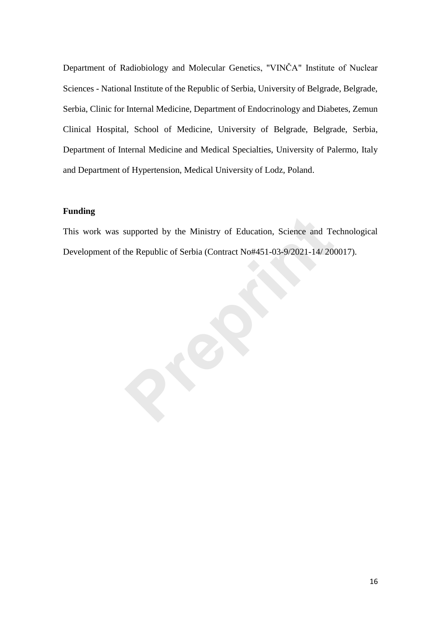Department of Radiobiology and Molecular Genetics, "VINČA" Institute of Nuclear Sciences - National Institute of the Republic of Serbia, University of Belgrade, Belgrade, Serbia, Clinic for Internal Medicine, Department of Endocrinology and Diabetes, Zemun Clinical Hospital, School of Medicine, University of Belgrade, Belgrade, Serbia, Department of Internal Medicine and Medical Specialties, University of Palermo, Italy and Department of Hypertension, Medical University of Lodz, Poland.

## **Funding**

This work was supported by the Ministry of Education, Science and Technological Development of the Republic of Serbia (Contract No#451-03-9/2021-14/ 200017).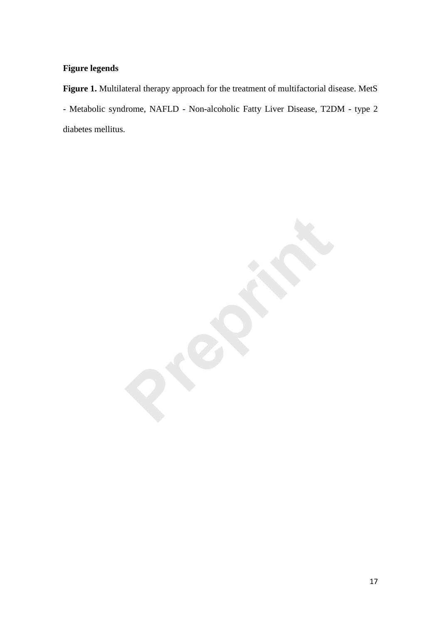# **Figure legends**

**Figure 1.** Multilateral therapy approach for the treatment of multifactorial disease. MetS - Metabolic syndrome, NAFLD - Non-alcoholic Fatty Liver Disease, T2DM - type 2 diabetes mellitus.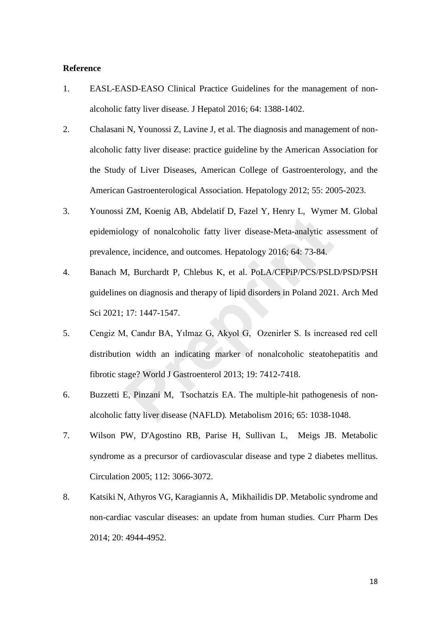## **Reference**

- 1. EASL-EASD-EASO Clinical Practice Guidelines for the management of nonalcoholic fatty liver disease*.* J Hepatol 2016; 64: 1388-1402.
- 2. Chalasani N, Younossi Z, Lavine J, et al. The diagnosis and management of nonalcoholic fatty liver disease: practice guideline by the American Association for the Study of Liver Diseases, American College of Gastroenterology, and the American Gastroenterological Association*.* Hepatology 2012; 55: 2005-2023.
- 3. Younossi ZM, Koenig AB, Abdelatif D, Fazel Y, Henry L, Wymer M. Global epidemiology of nonalcoholic fatty liver disease-Meta-analytic assessment of prevalence, incidence, and outcomes*.* Hepatology 2016; 64: 73-84.
- 4. Banach M, Burchardt P, Chlebus K, et al. PoLA/CFPiP/PCS/PSLD/PSD/PSH guidelines on diagnosis and therapy of lipid disorders in Poland 2021*.* Arch Med Sci 2021; 17: 1447-1547. Eart, Houng 119, Houstan 12, Tazer 1, Hom<sub>3</sub> 1, Wymen<br>
logy of nonalcoholic fatty liver disease-Meta-analytic as:<br>
e, incidence, and outcomes. Hepatology 2016; 64: 73-84.<br>
A, Burchardt P, Chlebus K, et al. PoLA/CFPiP/PCS/P
- 5. Cengiz M, Candır BA, Yılmaz G, Akyol G, Ozenirler S. Is increased red cell distribution width an indicating marker of nonalcoholic steatohepatitis and fibrotic stage? World J Gastroenterol 2013; 19: 7412-7418.
- 6. Buzzetti E, Pinzani M, Tsochatzis EA. The multiple-hit pathogenesis of nonalcoholic fatty liver disease (NAFLD)*.* Metabolism 2016; 65: 1038-1048.
- 7. Wilson PW, D'Agostino RB, Parise H, Sullivan L, Meigs JB. Metabolic syndrome as a precursor of cardiovascular disease and type 2 diabetes mellitus*.* Circulation 2005; 112: 3066-3072.
- 8. Katsiki N, Athyros VG, Karagiannis A, Mikhailidis DP. Metabolic syndrome and non-cardiac vascular diseases: an update from human studies*.* Curr Pharm Des 2014; 20: 4944-4952.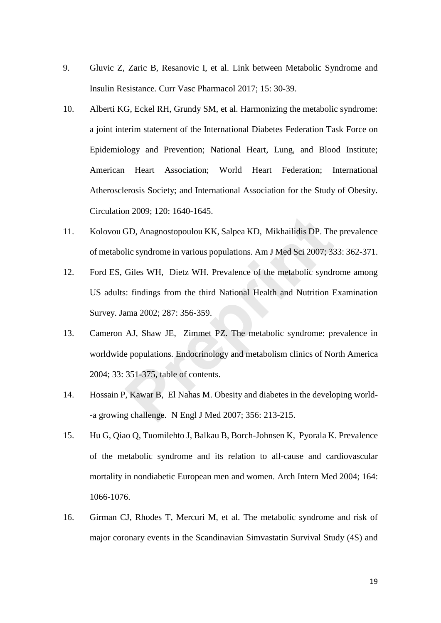- 9. Gluvic Z, Zaric B, Resanovic I, et al. Link between Metabolic Syndrome and Insulin Resistance*.* Curr Vasc Pharmacol 2017; 15: 30-39.
- 10. Alberti KG, Eckel RH, Grundy SM, et al. Harmonizing the metabolic syndrome: a joint interim statement of the International Diabetes Federation Task Force on Epidemiology and Prevention; National Heart, Lung, and Blood Institute; American Heart Association; World Heart Federation; International Atherosclerosis Society; and International Association for the Study of Obesity*.* Circulation 2009; 120: 1640-1645.
- 11. Kolovou GD, Anagnostopoulou KK, Salpea KD, Mikhailidis DP. The prevalence of metabolic syndrome in various populations*.* Am J Med Sci 2007; 333: 362-371.
- 12. Ford ES, Giles WH, Dietz WH. Prevalence of the metabolic syndrome among US adults: findings from the third National Health and Nutrition Examination Survey*.* Jama 2002; 287: 356-359. GD, Anagnostopoulou KK, Salpea KD, Mikhailidis DP. The<br>lic syndrome in various populations. Am J Med Sci 2007; 33<br>Giles WH, Dietz WH. Prevalence of the metabolic syndre<br>s: findings from the third National Health and Nutrit
- 13. Cameron AJ, Shaw JE, Zimmet PZ. The metabolic syndrome: prevalence in worldwide populations*.* Endocrinology and metabolism clinics of North America 2004; 33: 351-375, table of contents.
- 14. Hossain P, Kawar B, El Nahas M. Obesity and diabetes in the developing world- -a growing challenge*.* N Engl J Med 2007; 356: 213-215.
- 15. Hu G, Qiao Q, Tuomilehto J, Balkau B, Borch-Johnsen K, Pyorala K. Prevalence of the metabolic syndrome and its relation to all-cause and cardiovascular mortality in nondiabetic European men and women*.* Arch Intern Med 2004; 164: 1066-1076.
- 16. Girman CJ, Rhodes T, Mercuri M, et al. The metabolic syndrome and risk of major coronary events in the Scandinavian Simvastatin Survival Study (4S) and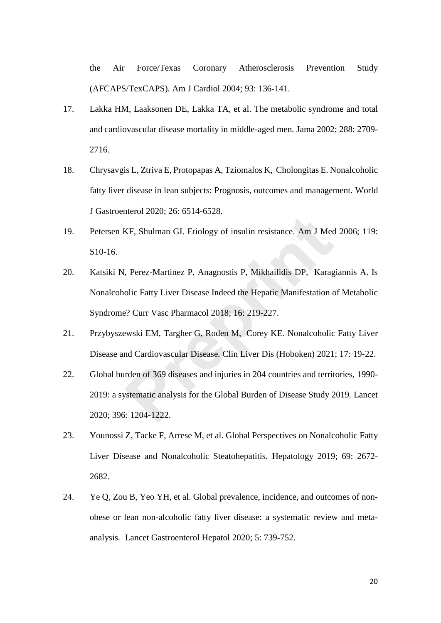the Air Force/Texas Coronary Atherosclerosis Prevention Study (AFCAPS/TexCAPS)*.* Am J Cardiol 2004; 93: 136-141.

- 17. Lakka HM, Laaksonen DE, Lakka TA, et al. The metabolic syndrome and total and cardiovascular disease mortality in middle-aged men*.* Jama 2002; 288: 2709- 2716.
- 18. Chrysavgis L, Ztriva E, Protopapas A, Tziomalos K, Cholongitas E. Nonalcoholic fatty liver disease in lean subjects: Prognosis, outcomes and management*.* World J Gastroenterol 2020; 26: 6514-6528.
- 19. Petersen KF, Shulman GI. Etiology of insulin resistance*.* Am J Med 2006; 119: S10-16.
- 20. Katsiki N, Perez-Martinez P, Anagnostis P, Mikhailidis DP, Karagiannis A. Is Nonalcoholic Fatty Liver Disease Indeed the Hepatic Manifestation of Metabolic Syndrome? Curr Vasc Pharmacol 2018; 16: 219-227. KF, Shulman GI. Etiology of insulin resistance. Am J Med<br>
7. Perez-Martinez P, Anagnostis P, Mikhailidis DP, Karag<br>
9. Perez-Martinez P, Anagnostis P, Mikhailidis DP, Karag<br>
9. Perez-Martinez P, Anagnostis P, Mikhailidis D
- 21. Przybyszewski EM, Targher G, Roden M, Corey KE. Nonalcoholic Fatty Liver Disease and Cardiovascular Disease*.* Clin Liver Dis (Hoboken) 2021; 17: 19-22.
- 22. Global burden of 369 diseases and injuries in 204 countries and territories, 1990- 2019: a systematic analysis for the Global Burden of Disease Study 2019*.* Lancet 2020; 396: 1204-1222.
- 23. Younossi Z, Tacke F, Arrese M, et al. Global Perspectives on Nonalcoholic Fatty Liver Disease and Nonalcoholic Steatohepatitis*.* Hepatology 2019; 69: 2672- 2682.
- 24. Ye Q, Zou B, Yeo YH, et al. Global prevalence, incidence, and outcomes of nonobese or lean non-alcoholic fatty liver disease: a systematic review and metaanalysis*.* Lancet Gastroenterol Hepatol 2020; 5: 739-752.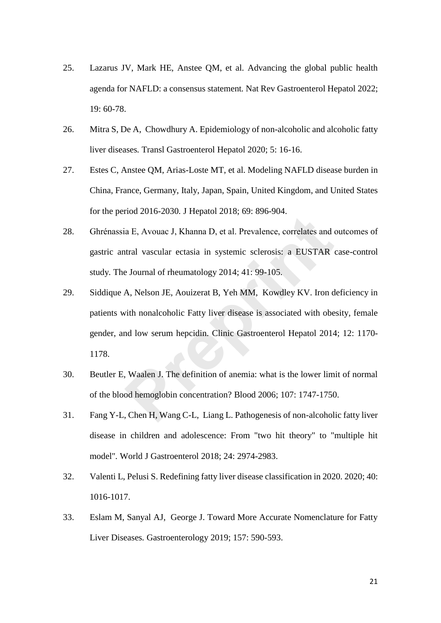- 25. Lazarus JV, Mark HE, Anstee QM, et al. Advancing the global public health agenda for NAFLD: a consensus statement*.* Nat Rev Gastroenterol Hepatol 2022; 19: 60-78.
- 26. Mitra S, De A, Chowdhury A. Epidemiology of non-alcoholic and alcoholic fatty liver diseases*.* Transl Gastroenterol Hepatol 2020; 5: 16-16.
- 27. Estes C, Anstee QM, Arias-Loste MT, et al. Modeling NAFLD disease burden in China, France, Germany, Italy, Japan, Spain, United Kingdom, and United States for the period 2016-2030*.* J Hepatol 2018; 69: 896-904.
- 28. Ghrénassia E, Avouac J, Khanna D, et al. Prevalence, correlates and outcomes of gastric antral vascular ectasia in systemic sclerosis: a EUSTAR case-control study*.* The Journal of rheumatology 2014; 41: 99-105.
- 29. Siddique A, Nelson JE, Aouizerat B, Yeh MM, Kowdley KV. Iron deficiency in patients with nonalcoholic Fatty liver disease is associated with obesity, female gender, and low serum hepcidin*.* Clinic Gastroenterol Hepatol 2014; 12: 1170- 1178. ia E, Avouac J, Khanna D, et al. Prevalence, correlates and the Books J, Khanna D, et al. Prevalence, correlates and the Usural of rheumatology 2014; 41: 99-105.<br> **Preprinti** Vascular ectasia in systemic sclerosis: a EUSTA
- 30. Beutler E, Waalen J. The definition of anemia: what is the lower limit of normal of the blood hemoglobin concentration? Blood 2006; 107: 1747-1750.
- 31. Fang Y-L, Chen H, Wang C-L, Liang L. Pathogenesis of non-alcoholic fatty liver disease in children and adolescence: From "two hit theory" to "multiple hit model"*.* World J Gastroenterol 2018; 24: 2974-2983.
- 32. Valenti L, Pelusi S. Redefining fatty liver disease classification in 2020*.* 2020; 40: 1016-1017.
- 33. Eslam M, Sanyal AJ, George J. Toward More Accurate Nomenclature for Fatty Liver Diseases*.* Gastroenterology 2019; 157: 590-593.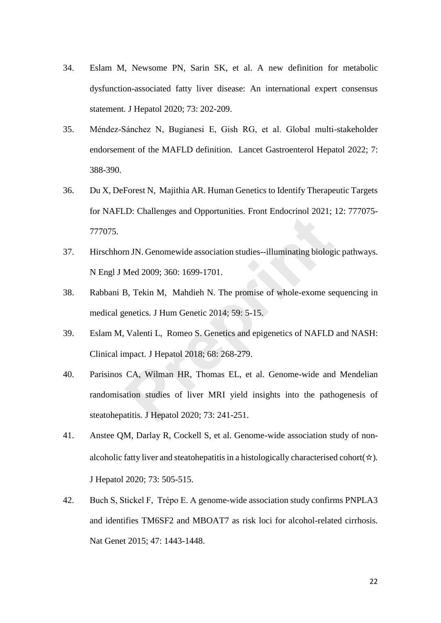- 34. Eslam M, Newsome PN, Sarin SK, et al. A new definition for metabolic dysfunction-associated fatty liver disease: An international expert consensus statement*.* J Hepatol 2020; 73: 202-209.
- 35. Méndez-Sánchez N, Bugianesi E, Gish RG, et al. Global multi-stakeholder endorsement of the MAFLD definition*.* Lancet Gastroenterol Hepatol 2022; 7: 388-390.
- 36. Du X, DeForest N, Majithia AR. Human Genetics to Identify Therapeutic Targets for NAFLD: Challenges and Opportunities*.* Front Endocrinol 2021; 12: 777075- 777075.
- 37. Hirschhorn JN. Genomewide association studies--illuminating biologic pathways*.* N Engl J Med 2009; 360: 1699-1701.
- 38. Rabbani B, Tekin M, Mahdieh N. The promise of whole-exome sequencing in medical genetics*.* J Hum Genetic 2014; 59: 5-15.
- 39. Eslam M, Valenti L, Romeo S. Genetics and epigenetics of NAFLD and NASH: Clinical impact*.* J Hepatol 2018; 68: 268-279.
- 40. Parisinos CA, Wilman HR, Thomas EL, et al. Genome-wide and Mendelian randomisation studies of liver MRI yield insights into the pathogenesis of steatohepatitis*.* J Hepatol 2020; 73: 241-251. E. Chantenges and Opportanties. 11th Endocrinor Estat,<br>The JN. Genomewide association studies--illuminating biologi<br>Med 2009; 360: 1699-1701.<br>B, Tekin M, Mahdieh N. The promise of whole-exome se<br>enetics. J Hum Genetic 2014
- 41. Anstee QM, Darlay R, Cockell S, et al. Genome-wide association study of nonalcoholic fatty liver and steatohepatitis in a histologically characterised cohort(☆)*.* J Hepatol 2020; 73: 505-515.
- 42. Buch S, Stickel F, Trépo E. A genome-wide association study confirms PNPLA3 and identifies TM6SF2 and MBOAT7 as risk loci for alcohol-related cirrhosis*.* Nat Genet 2015; 47: 1443-1448.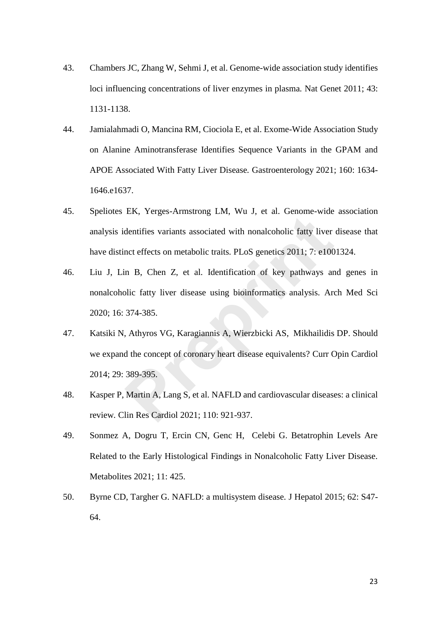- 43. Chambers JC, Zhang W, Sehmi J, et al. Genome-wide association study identifies loci influencing concentrations of liver enzymes in plasma. Nat Genet 2011; 43: 1131-1138.
- 44. Jamialahmadi O, Mancina RM, Ciociola E, et al. Exome-Wide Association Study on Alanine Aminotransferase Identifies Sequence Variants in the GPAM and APOE Associated With Fatty Liver Disease*.* Gastroenterology 2021; 160: 1634- 1646.e1637.
- 45. Speliotes EK, Yerges-Armstrong LM, Wu J, et al. Genome-wide association analysis identifies variants associated with nonalcoholic fatty liver disease that have distinct effects on metabolic traits*.* PLoS genetics 2011; 7: e1001324.
- 46. Liu J, Lin B, Chen Z, et al. Identification of key pathways and genes in nonalcoholic fatty liver disease using bioinformatics analysis*.* Arch Med Sci 2020; 16: 374-385. 21, Preges Timsdong 21, 11, 11, 3, et al. Scholie Made<br>dentifies variants associated with nonalcoholic fatty liver<br>not effects on metabolic traits. PLoS genetics 2011; 7: e100<br>in B, Chen Z, et al. Identification of key pat
- 47. Katsiki N, Athyros VG, Karagiannis A, Wierzbicki AS, Mikhailidis DP. Should we expand the concept of coronary heart disease equivalents? Curr Opin Cardiol 2014; 29: 389-395.
- 48. Kasper P, Martin A, Lang S, et al. NAFLD and cardiovascular diseases: a clinical review*.* Clin Res Cardiol 2021; 110: 921-937.
- 49. Sonmez A, Dogru T, Ercin CN, Genc H, Celebi G. Betatrophin Levels Are Related to the Early Histological Findings in Nonalcoholic Fatty Liver Disease*.* Metabolites 2021; 11: 425.
- 50. Byrne CD, Targher G. NAFLD: a multisystem disease*.* J Hepatol 2015; 62: S47- 64.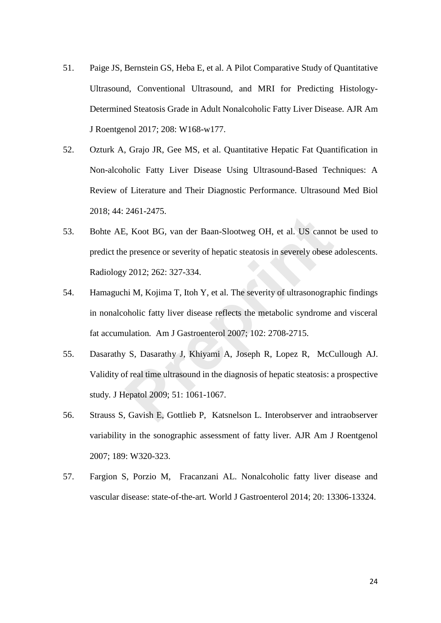- 51. Paige JS, Bernstein GS, Heba E, et al. A Pilot Comparative Study of Quantitative Ultrasound, Conventional Ultrasound, and MRI for Predicting Histology-Determined Steatosis Grade in Adult Nonalcoholic Fatty Liver Disease*.* AJR Am J Roentgenol 2017; 208: W168-w177.
- 52. Ozturk A, Grajo JR, Gee MS, et al. Quantitative Hepatic Fat Quantification in Non-alcoholic Fatty Liver Disease Using Ultrasound-Based Techniques: A Review of Literature and Their Diagnostic Performance*.* Ultrasound Med Biol 2018; 44: 2461-2475.
- 53. Bohte AE, Koot BG, van der Baan-Slootweg OH, et al. US cannot be used to predict the presence or severity of hepatic steatosis in severely obese adolescents*.* Radiology 2012; 262: 327-334. Extramation BG, van der Baan-Slootweg OH, et al. US cannot<br>
e presence or severity of hepatic steatosis in severely obese<br>
y 2012; 262: 327-334.<br>
hi M, Kojima T, Itoh Y, et al. The severity of ultrasonograp<br>
oholic fatty l
- 54. Hamaguchi M, Kojima T, Itoh Y, et al. The severity of ultrasonographic findings in nonalcoholic fatty liver disease reflects the metabolic syndrome and visceral fat accumulation*.* Am J Gastroenterol 2007; 102: 2708-2715.
- 55. Dasarathy S, Dasarathy J, Khiyami A, Joseph R, Lopez R, McCullough AJ. Validity of real time ultrasound in the diagnosis of hepatic steatosis: a prospective study*.* J Hepatol 2009; 51: 1061-1067.
- 56. Strauss S, Gavish E, Gottlieb P, Katsnelson L. Interobserver and intraobserver variability in the sonographic assessment of fatty liver*.* AJR Am J Roentgenol 2007; 189: W320-323.
- 57. Fargion S, Porzio M, Fracanzani AL. Nonalcoholic fatty liver disease and vascular disease: state-of-the-art*.* World J Gastroenterol 2014; 20: 13306-13324.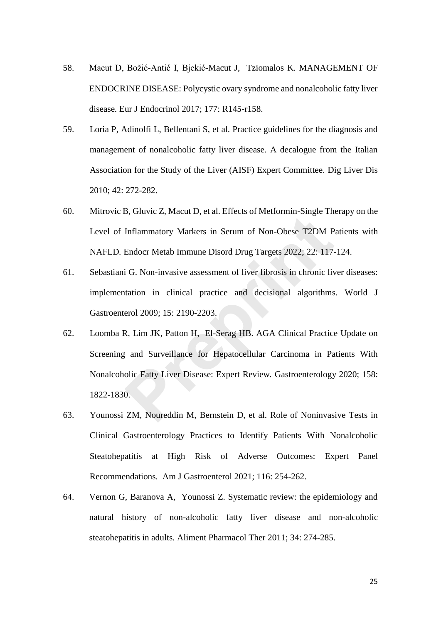- 58. Macut D, Božić-Antić I, Bjekić-Macut J, Tziomalos K. MANAGEMENT OF ENDOCRINE DISEASE: Polycystic ovary syndrome and nonalcoholic fatty liver disease*.* Eur J Endocrinol 2017; 177: R145-r158.
- 59. Loria P, Adinolfi L, Bellentani S, et al. Practice guidelines for the diagnosis and management of nonalcoholic fatty liver disease. A decalogue from the Italian Association for the Study of the Liver (AISF) Expert Committee*.* Dig Liver Dis 2010; 42: 272-282.
- 60. Mitrovic B, Gluvic Z, Macut D, et al. Effects of Metformin-Single Therapy on the Level of Inflammatory Markers in Serum of Non-Obese T2DM Patients with NAFLD*.* Endocr Metab Immune Disord Drug Targets 2022; 22: 117-124.
- 61. Sebastiani G. Non-invasive assessment of liver fibrosis in chronic liver diseases: implementation in clinical practice and decisional algorithms*.* World J Gastroenterol 2009; 15: 2190-2203.
- 62. Loomba R, Lim JK, Patton H, El-Serag HB. AGA Clinical Practice Update on Screening and Surveillance for Hepatocellular Carcinoma in Patients With Nonalcoholic Fatty Liver Disease: Expert Review*.* Gastroenterology 2020; 158: 1822-1830. Inflammatory Markers in Serum of Non-Obese T2DM P<br>Endocr Metab Immune Disord Drug Targets 2022; 22: 117-<br>i G. Non-invasive assessment of liver fibrosis in chronic live<br>tation in clinical practice and decisional algorithms<br>
- 63. Younossi ZM, Noureddin M, Bernstein D, et al. Role of Noninvasive Tests in Clinical Gastroenterology Practices to Identify Patients With Nonalcoholic Steatohepatitis at High Risk of Adverse Outcomes: Expert Panel Recommendations*.* Am J Gastroenterol 2021; 116: 254-262.
- 64. Vernon G, Baranova A, Younossi Z. Systematic review: the epidemiology and natural history of non-alcoholic fatty liver disease and non-alcoholic steatohepatitis in adults*.* Aliment Pharmacol Ther 2011; 34: 274-285.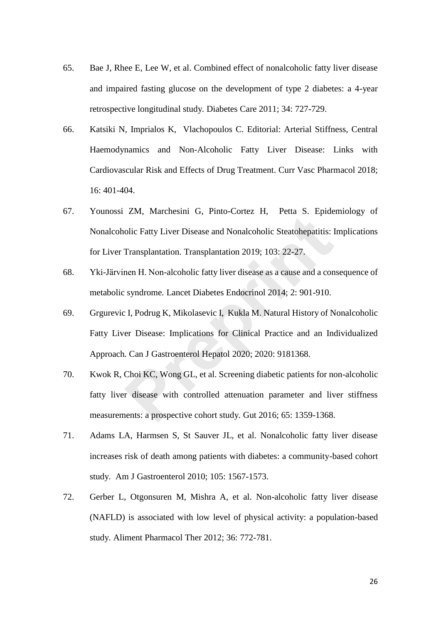- 65. Bae J, Rhee E, Lee W, et al. Combined effect of nonalcoholic fatty liver disease and impaired fasting glucose on the development of type 2 diabetes: a 4-year retrospective longitudinal study*.* Diabetes Care 2011; 34: 727-729.
- 66. Katsiki N, Imprialos K, Vlachopoulos C. Editorial: Arterial Stiffness, Central Haemodynamics and Non-Alcoholic Fatty Liver Disease: Links with Cardiovascular Risk and Effects of Drug Treatment*.* Curr Vasc Pharmacol 2018; 16: 401-404.
- 67. Younossi ZM, Marchesini G, Pinto-Cortez H, Petta S. Epidemiology of Nonalcoholic Fatty Liver Disease and Nonalcoholic Steatohepatitis: Implications for Liver Transplantation*.* Transplantation 2019; 103: 22-27.
- 68. Yki-Järvinen H. Non-alcoholic fatty liver disease as a cause and a consequence of metabolic syndrome*.* Lancet Diabetes Endocrinol 2014; 2: 901-910.
- 69. Grgurevic I, Podrug K, Mikolasevic I, Kukla M. Natural History of Nonalcoholic Fatty Liver Disease: Implications for Clinical Practice and an Individualized Approach*.* Can J Gastroenterol Hepatol 2020; 2020: 9181368.
- 70. Kwok R, Choi KC, Wong GL, et al. Screening diabetic patients for non-alcoholic fatty liver disease with controlled attenuation parameter and liver stiffness measurements: a prospective cohort study*.* Gut 2016; 65: 1359-1368. Lin, Materieshir C, Thile Corter T, Tetal D. Epide<br>olic Fatty Liver Disease and Nonalcoholic Steatohepatitis: 1<br>Transplantation. Transplantation 2019; 103: 22-27.<br>nen H. Non-alcoholic fatty liver disease as a cause and a c
- 71. Adams LA, Harmsen S, St Sauver JL, et al. Nonalcoholic fatty liver disease increases risk of death among patients with diabetes: a community-based cohort study*.* Am J Gastroenterol 2010; 105: 1567-1573.
- 72. Gerber L, Otgonsuren M, Mishra A, et al. Non-alcoholic fatty liver disease (NAFLD) is associated with low level of physical activity: a population-based study*.* Aliment Pharmacol Ther 2012; 36: 772-781.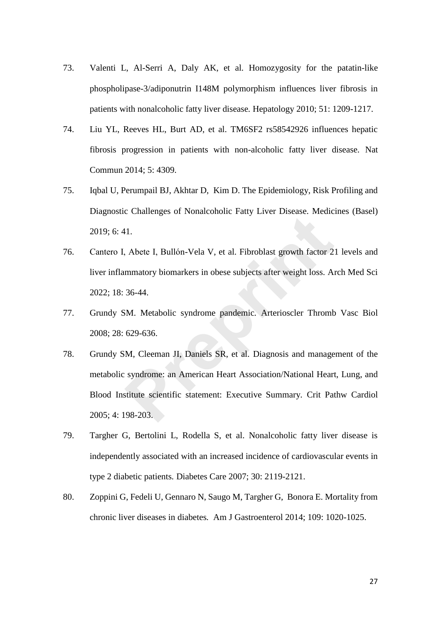- 73. Valenti L, Al-Serri A, Daly AK, et al. Homozygosity for the patatin-like phospholipase-3/adiponutrin I148M polymorphism influences liver fibrosis in patients with nonalcoholic fatty liver disease*.* Hepatology 2010; 51: 1209-1217.
- 74. Liu YL, Reeves HL, Burt AD, et al. TM6SF2 rs58542926 influences hepatic fibrosis progression in patients with non-alcoholic fatty liver disease*.* Nat Commun 2014; 5: 4309.
- 75. Iqbal U, Perumpail BJ, Akhtar D, Kim D. The Epidemiology, Risk Profiling and Diagnostic Challenges of Nonalcoholic Fatty Liver Disease*.* Medicines (Basel) 2019; 6: 41.
- 76. Cantero I, Abete I, Bullón-Vela V, et al. Fibroblast growth factor 21 levels and liver inflammatory biomarkers in obese subjects after weight loss*.* Arch Med Sci 2022; 18: 36-44.
- 77. Grundy SM. Metabolic syndrome pandemic*.* Arterioscler Thromb Vasc Biol 2008; 28: 629-636.
- 78. Grundy SM, Cleeman JI, Daniels SR, et al. Diagnosis and management of the metabolic syndrome: an American Heart Association/National Heart, Lung, and Blood Institute scientific statement: Executive Summary*.* Crit Pathw Cardiol 2005; 4: 198-203. 11.<br>
Abete I, Bullón-Vela V, et al. Fibroblast growth factor 2<br>
mmatory biomarkers in obese subjects after weight loss. A<br>
36-44.<br>
M. Metabolic syndrome pandemic. Arterioscler Thromb<br>
629-636.<br>
M. Cleeman JI, Daniels SR, e
- 79. Targher G, Bertolini L, Rodella S, et al. Nonalcoholic fatty liver disease is independently associated with an increased incidence of cardiovascular events in type 2 diabetic patients*.* Diabetes Care 2007; 30: 2119-2121.
- 80. Zoppini G, Fedeli U, Gennaro N, Saugo M, Targher G, Bonora E. Mortality from chronic liver diseases in diabetes*.* Am J Gastroenterol 2014; 109: 1020-1025.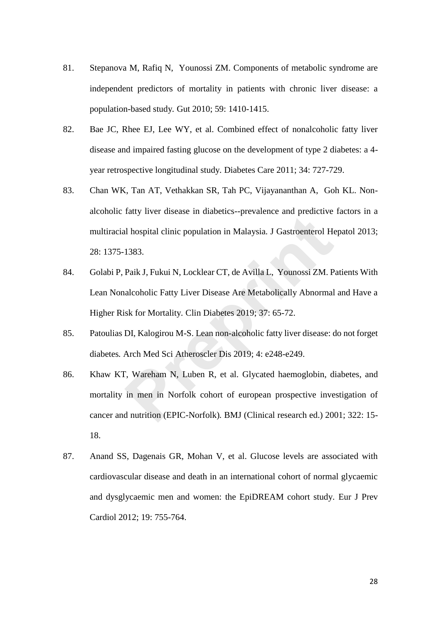- 81. Stepanova M, Rafiq N, Younossi ZM. Components of metabolic syndrome are independent predictors of mortality in patients with chronic liver disease: a population-based study*.* Gut 2010; 59: 1410-1415.
- 82. Bae JC, Rhee EJ, Lee WY, et al. Combined effect of nonalcoholic fatty liver disease and impaired fasting glucose on the development of type 2 diabetes: a 4 year retrospective longitudinal study*.* Diabetes Care 2011; 34: 727-729.
- 83. Chan WK, Tan AT, Vethakkan SR, Tah PC, Vijayananthan A, Goh KL. Nonalcoholic fatty liver disease in diabetics--prevalence and predictive factors in a multiracial hospital clinic population in Malaysia*.* J Gastroenterol Hepatol 2013; 28: 1375-1383.
- 84. Golabi P, Paik J, Fukui N, Locklear CT, de Avilla L, Younossi ZM. Patients With Lean Nonalcoholic Fatty Liver Disease Are Metabolically Abnormal and Have a Higher Risk for Mortality*.* Clin Diabetes 2019; 37: 65-72.
- 85. Patoulias DI, Kalogirou M-S. Lean non-alcoholic fatty liver disease: do not forget diabetes*.* Arch Med Sci Atheroscler Dis 2019; 4: e248-e249.
- 86. Khaw KT, Wareham N, Luben R, et al. Glycated haemoglobin, diabetes, and mortality in men in Norfolk cohort of european prospective investigation of cancer and nutrition (EPIC-Norfolk)*.* BMJ (Clinical research ed.) 2001; 322: 15- 18. rative distance in a previation in Malaysia. J Gastroenterol He<br>
1383.<br>
Paik J, Fukui N, Locklear CT, de Avilla L, Younossi ZM. P<br>
alcoholic Fatty Liver Disease Are Metabolically Abnormal<br>
isk for Mortality. Clin Diabetes
- 87. Anand SS, Dagenais GR, Mohan V, et al. Glucose levels are associated with cardiovascular disease and death in an international cohort of normal glycaemic and dysglycaemic men and women: the EpiDREAM cohort study*.* Eur J Prev Cardiol 2012; 19: 755-764.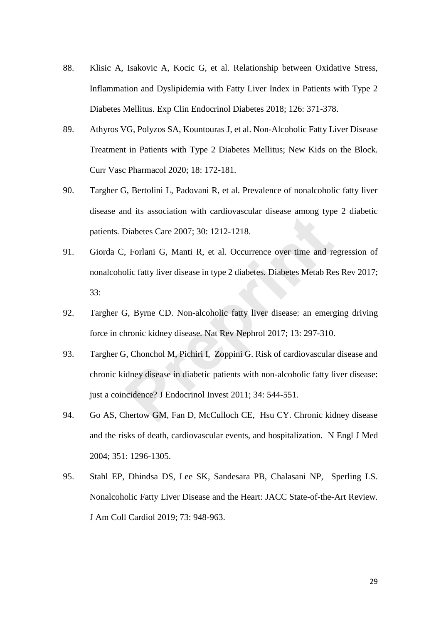- 88. Klisic A, Isakovic A, Kocic G, et al. Relationship between Oxidative Stress, Inflammation and Dyslipidemia with Fatty Liver Index in Patients with Type 2 Diabetes Mellitus*.* Exp Clin Endocrinol Diabetes 2018; 126: 371-378.
- 89. Athyros VG, Polyzos SA, Kountouras J, et al. Non-Alcoholic Fatty Liver Disease Treatment in Patients with Type 2 Diabetes Mellitus; New Kids on the Block*.* Curr Vasc Pharmacol 2020; 18: 172-181.
- 90. Targher G, Bertolini L, Padovani R, et al. Prevalence of nonalcoholic fatty liver disease and its association with cardiovascular disease among type 2 diabetic patients*.* Diabetes Care 2007; 30: 1212-1218.
- 91. Giorda C, Forlani G, Manti R, et al. Occurrence over time and regression of nonalcoholic fatty liver disease in type 2 diabetes*.* Diabetes Metab Res Rev 2017; 33: Diabetes Care 2007; 30: 1212-1218.<br>
Forlani G, Manti R, et al. Occurrence over time and results and the policity liver disease in type 2 diabetes. Diabetes Metab Repolic fatty liver disease in type 2 diabetes. Diabetes Met
- 92. Targher G, Byrne CD. Non-alcoholic fatty liver disease: an emerging driving force in chronic kidney disease*.* Nat Rev Nephrol 2017; 13: 297-310.
- 93. Targher G, Chonchol M, Pichiri I, Zoppini G. Risk of cardiovascular disease and chronic kidney disease in diabetic patients with non-alcoholic fatty liver disease: just a coincidence? J Endocrinol Invest 2011; 34: 544-551.
- 94. Go AS, Chertow GM, Fan D, McCulloch CE, Hsu CY. Chronic kidney disease and the risks of death, cardiovascular events, and hospitalization*.* N Engl J Med 2004; 351: 1296-1305.
- 95. Stahl EP, Dhindsa DS, Lee SK, Sandesara PB, Chalasani NP, Sperling LS. Nonalcoholic Fatty Liver Disease and the Heart: JACC State-of-the-Art Review*.* J Am Coll Cardiol 2019; 73: 948-963.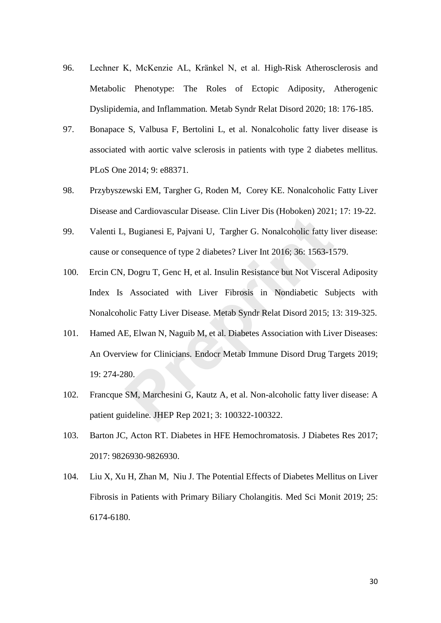- 96. Lechner K, McKenzie AL, Kränkel N, et al. High-Risk Atherosclerosis and Metabolic Phenotype: The Roles of Ectopic Adiposity, Atherogenic Dyslipidemia, and Inflammation*.* Metab Syndr Relat Disord 2020; 18: 176-185.
- 97. Bonapace S, Valbusa F, Bertolini L, et al. Nonalcoholic fatty liver disease is associated with aortic valve sclerosis in patients with type 2 diabetes mellitus*.* PLoS One 2014; 9: e88371.
- 98. Przybyszewski EM, Targher G, Roden M, Corey KE. Nonalcoholic Fatty Liver Disease and Cardiovascular Disease*.* Clin Liver Dis (Hoboken) 2021; 17: 19-22.
- 99. Valenti L, Bugianesi E, Pajvani U, Targher G. Nonalcoholic fatty liver disease: cause or consequence of type 2 diabetes? Liver Int 2016; 36: 1563-1579.
- 100. Ercin CN, Dogru T, Genc H, et al. Insulin Resistance but Not Visceral Adiposity Index Is Associated with Liver Fibrosis in Nondiabetic Subjects with Nonalcoholic Fatty Liver Disease*.* Metab Syndr Relat Disord 2015; 13: 319-325. Regianesi E, Pajvani U, Targher G. Nonalcoholic fatty list consequence of type 2 diabetes? Liver Int 2016; 36: 1563-15.<br>
Dogru T, Genc H, et al. Insulin Resistance but Not Viscera<br>
Associated with Liver Fibrosis in Nondiab
- 101. Hamed AE, Elwan N, Naguib M, et al. Diabetes Association with Liver Diseases: An Overview for Clinicians*.* Endocr Metab Immune Disord Drug Targets 2019; 19: 274-280.
- 102. Francque SM, Marchesini G, Kautz A, et al. Non-alcoholic fatty liver disease: A patient guideline*.* JHEP Rep 2021; 3: 100322-100322.
- 103. Barton JC, Acton RT. Diabetes in HFE Hemochromatosis*.* J Diabetes Res 2017; 2017: 9826930-9826930.
- 104. Liu X, Xu H, Zhan M, Niu J. The Potential Effects of Diabetes Mellitus on Liver Fibrosis in Patients with Primary Biliary Cholangitis*.* Med Sci Monit 2019; 25: 6174-6180.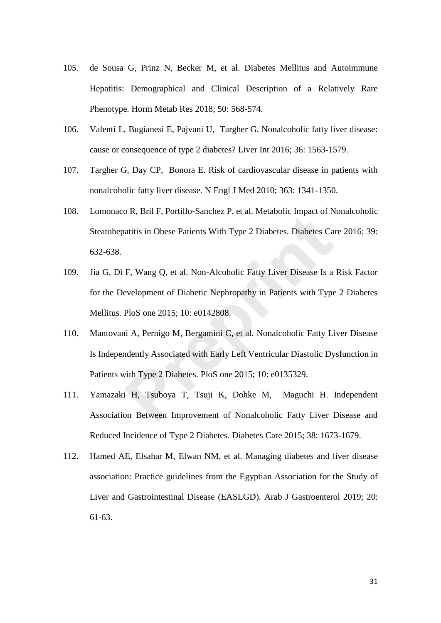- 105. de Sousa G, Prinz N, Becker M, et al. Diabetes Mellitus and Autoimmune Hepatitis: Demographical and Clinical Description of a Relatively Rare Phenotype*.* Horm Metab Res 2018; 50: 568-574.
- 106. Valenti L, Bugianesi E, Pajvani U, Targher G. Nonalcoholic fatty liver disease: cause or consequence of type 2 diabetes? Liver Int 2016; 36: 1563-1579.
- 107. Targher G, Day CP, Bonora E. Risk of cardiovascular disease in patients with nonalcoholic fatty liver disease*.* N Engl J Med 2010; 363: 1341-1350.
- 108. Lomonaco R, Bril F, Portillo-Sanchez P, et al. Metabolic Impact of Nonalcoholic Steatohepatitis in Obese Patients With Type 2 Diabetes*.* Diabetes Care 2016; 39: 632-638.
- 109. Jia G, Di F, Wang Q, et al. Non-Alcoholic Fatty Liver Disease Is a Risk Factor for the Development of Diabetic Nephropathy in Patients with Type 2 Diabetes Mellitus*.* PloS one 2015; 10: e0142808. atitis in Obese Patients With Type 2 Diabetes. Diabetes Ca<br>**F**, Wang Q, et al. Non-Alcoholic Fatty Liver Disease Is a<br>evelopment of Diabetic Nephropathy in Patients with Type<br>PloS one 2015; 10: e0142808.<br>hi A, Pernigo M, B
- 110. Mantovani A, Pernigo M, Bergamini C, et al. Nonalcoholic Fatty Liver Disease Is Independently Associated with Early Left Ventricular Diastolic Dysfunction in Patients with Type 2 Diabetes*.* PloS one 2015; 10: e0135329.
- 111. Yamazaki H, Tsuboya T, Tsuji K, Dohke M, Maguchi H. Independent Association Between Improvement of Nonalcoholic Fatty Liver Disease and Reduced Incidence of Type 2 Diabetes*.* Diabetes Care 2015; 38: 1673-1679.
- 112. Hamed AE, Elsahar M, Elwan NM, et al. Managing diabetes and liver disease association: Practice guidelines from the Egyptian Association for the Study of Liver and Gastrointestinal Disease (EASLGD)*.* Arab J Gastroenterol 2019; 20: 61-63.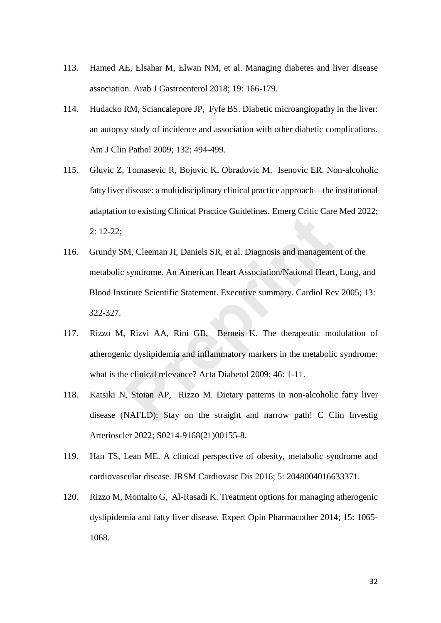- 113. Hamed AE, Elsahar M, Elwan NM, et al. Managing diabetes and liver disease association*.* Arab J Gastroenterol 2018; 19: 166-179.
- 114. Hudacko RM, Sciancalepore JP, Fyfe BS. Diabetic microangiopathy in the liver: an autopsy study of incidence and association with other diabetic complications*.* Am J Clin Pathol 2009; 132: 494-499.
- 115. Gluvic Z, Tomasevic R, Bojovic K, Obradovic M, Isenovic ER. Non-alcoholic fatty liver disease: a multidisciplinary clinical practice approach—the institutional adaptation to existing Clinical Practice Guidelines*.* Emerg Critic Care Med 2022; 2: 12-22;
- 116. Grundy SM, Cleeman JI, Daniels SR, et al. Diagnosis and management of the metabolic syndrome. An American Heart Association/National Heart, Lung, and Blood Institute Scientific Statement. Executive summary*.* Cardiol Rev 2005; 13: 322-327. M, Cleeman JI, Daniels SR, et al. Diagnosis and manageme<br>syndrome. An American Heart Association/National Heart<br>titute Scientific Statement. Executive summary. Cardiol Re<br>Rizvi AA, Rini GB, Berneis K. The therapeutic mo<br>ic
- 117. Rizzo M, Rizvi AA, Rini GB, Berneis K. The therapeutic modulation of atherogenic dyslipidemia and inflammatory markers in the metabolic syndrome: what is the clinical relevance? Acta Diabetol 2009; 46: 1-11.
- 118. Katsiki N, Stoian AP, Rizzo M. Dietary patterns in non-alcoholic fatty liver disease (NAFLD): Stay on the straight and narrow path! C Clin Investig Arterioscler 2022; S0214-9168(21)00155-8.
- 119. Han TS, Lean ME. A clinical perspective of obesity, metabolic syndrome and cardiovascular disease*.* JRSM Cardiovasc Dis 2016; 5: 2048004016633371.
- 120. Rizzo M, Montalto G, Al-Rasadi K. Treatment options for managing atherogenic dyslipidemia and fatty liver disease*.* Expert Opin Pharmacother 2014; 15: 1065- 1068.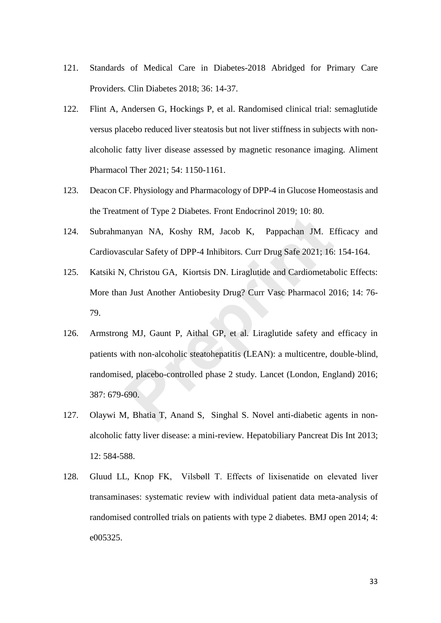- 121. Standards of Medical Care in Diabetes-2018 Abridged for Primary Care Providers*.* Clin Diabetes 2018; 36: 14-37.
- 122. Flint A, Andersen G, Hockings P, et al. Randomised clinical trial: semaglutide versus placebo reduced liver steatosis but not liver stiffness in subjects with nonalcoholic fatty liver disease assessed by magnetic resonance imaging*.* Aliment Pharmacol Ther 2021; 54: 1150-1161.
- 123. Deacon CF. Physiology and Pharmacology of DPP-4 in Glucose Homeostasis and the Treatment of Type 2 Diabetes*.* Front Endocrinol 2019; 10: 80.
- 124. Subrahmanyan NA, Koshy RM, Jacob K, Pappachan JM. Efficacy and Cardiovascular Safety of DPP-4 Inhibitors*.* Curr Drug Safe 2021; 16: 154-164.
- 125. Katsiki N, Christou GA, Kiortsis DN. Liraglutide and Cardiometabolic Effects: More than Just Another Antiobesity Drug? Curr Vasc Pharmacol 2016; 14: 76- 79.
- 126. Armstrong MJ, Gaunt P, Aithal GP, et al. Liraglutide safety and efficacy in patients with non-alcoholic steatohepatitis (LEAN): a multicentre, double-blind, randomised, placebo-controlled phase 2 study*.* Lancet (London, England) 2016; 387: 679-690. myan NA, Koshy RM, Jacob K, Pappachan JM. E<br>
Recular Safety of DPP-4 Inhibitors. Curr Drug Safe 2021; 16:<br>
7. Christou GA, Kiortsis DN. Liraglutide and Cardiometable<br>
1 Just Another Antiobesity Drug? Curr Vasc Pharmacol 20
- 127. Olaywi M, Bhatia T, Anand S, Singhal S. Novel anti-diabetic agents in nonalcoholic fatty liver disease: a mini-review*.* Hepatobiliary Pancreat Dis Int 2013; 12: 584-588.
- 128. Gluud LL, Knop FK, Vilsbøll T. Effects of lixisenatide on elevated liver transaminases: systematic review with individual patient data meta-analysis of randomised controlled trials on patients with type 2 diabetes*.* BMJ open 2014; 4: e005325.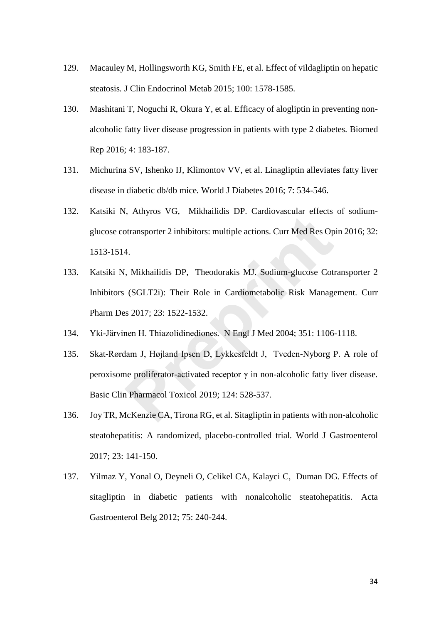- 129. Macauley M, Hollingsworth KG, Smith FE, et al. Effect of vildagliptin on hepatic steatosis*.* J Clin Endocrinol Metab 2015; 100: 1578-1585.
- 130. Mashitani T, Noguchi R, Okura Y, et al. Efficacy of alogliptin in preventing nonalcoholic fatty liver disease progression in patients with type 2 diabetes*.* Biomed Rep 2016; 4: 183-187.
- 131. Michurina SV, Ishenko IJ, Klimontov VV, et al. Linagliptin alleviates fatty liver disease in diabetic db/db mice*.* World J Diabetes 2016; 7: 534-546.
- 132. Katsiki N, Athyros VG, Mikhailidis DP. Cardiovascular effects of sodiumglucose cotransporter 2 inhibitors: multiple actions*.* Curr Med Res Opin 2016; 32: 1513-1514.
- 133. Katsiki N, Mikhailidis DP, Theodorakis MJ. Sodium-glucose Cotransporter 2 Inhibitors (SGLT2i): Their Role in Cardiometabolic Risk Management*.* Curr Pharm Des 2017; 23: 1522-1532. presentations: multiple actions. Curr Med Res Op<br>prepriary of the U. F. entanglemental enters<br>4.<br>**I**, Mikhailidis DP, Theodorakis MJ. Sodium-glucose Coti<br>(SGLT2i): Their Role in Cardiometabolic Risk Manages<br>2017; 23: 1522
- 134. Yki-Järvinen H. Thiazolidinediones*.* N Engl J Med 2004; 351: 1106-1118.
- 135. Skat-Rørdam J, Højland Ipsen D, Lykkesfeldt J, Tveden-Nyborg P. A role of peroxisome proliferator-activated receptor γ in non-alcoholic fatty liver disease*.* Basic Clin Pharmacol Toxicol 2019; 124: 528-537.
- 136. Joy TR, McKenzie CA, Tirona RG, et al. Sitagliptin in patients with non-alcoholic steatohepatitis: A randomized, placebo-controlled trial*.* World J Gastroenterol 2017; 23: 141-150.
- 137. Yilmaz Y, Yonal O, Deyneli O, Celikel CA, Kalayci C, Duman DG. Effects of sitagliptin in diabetic patients with nonalcoholic steatohepatitis*.* Acta Gastroenterol Belg 2012; 75: 240-244.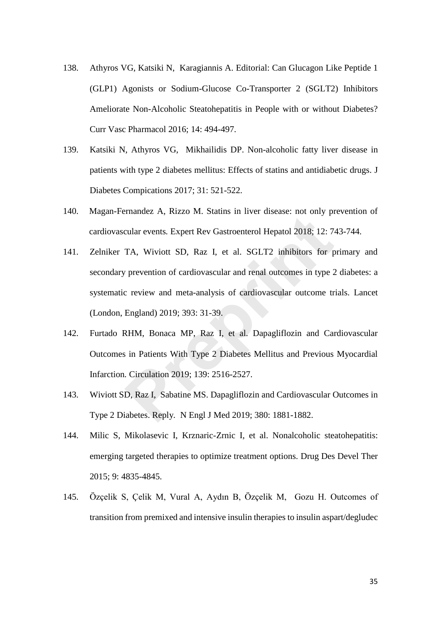- 138. Athyros VG, Katsiki N, Karagiannis A. Editorial: Can Glucagon Like Peptide 1 (GLP1) Agonists or Sodium-Glucose Co-Transporter 2 (SGLT2) Inhibitors Ameliorate Non-Alcoholic Steatohepatitis in People with or without Diabetes? Curr Vasc Pharmacol 2016; 14: 494-497.
- 139. Katsiki N, Athyros VG, Mikhailidis DP. Non-alcoholic fatty liver disease in patients with type 2 diabetes mellitus: Effects of statins and antidiabetic drugs*.* J Diabetes Compications 2017; 31: 521-522.
- 140. Magan-Fernandez A, Rizzo M. Statins in liver disease: not only prevention of cardiovascular events*.* Expert Rev Gastroenterol Hepatol 2018; 12: 743-744.
- 141. Zelniker TA, Wiviott SD, Raz I, et al. SGLT2 inhibitors for primary and secondary prevention of cardiovascular and renal outcomes in type 2 diabetes: a systematic review and meta-analysis of cardiovascular outcome trials*.* Lancet (London, England) 2019; 393: 31-39. Franciace Fr, Falze Fr, Batalus in fiver disease, fact only prevent<br>cular events. Expert Rev Gastroenterol Hepatol 2018; 12: 7<br>TA, Wiviott SD, Raz I, et al. SGLT2 inhibitors for p<br>prevention of cardiovascular and renal out
- 142. Furtado RHM, Bonaca MP, Raz I, et al. Dapagliflozin and Cardiovascular Outcomes in Patients With Type 2 Diabetes Mellitus and Previous Myocardial Infarction*.* Circulation 2019; 139: 2516-2527.
- 143. Wiviott SD, Raz I, Sabatine MS. Dapagliflozin and Cardiovascular Outcomes in Type 2 Diabetes. Reply*.* N Engl J Med 2019; 380: 1881-1882.
- 144. Milic S, Mikolasevic I, Krznaric-Zrnic I, et al. Nonalcoholic steatohepatitis: emerging targeted therapies to optimize treatment options*.* Drug Des Devel Ther 2015; 9: 4835-4845.
- 145. Özçelik S, Çelik M, Vural A, Aydın B, Özçelik M, Gozu H. Outcomes of transition from premixed and intensive insulin therapies to insulin aspart/degludec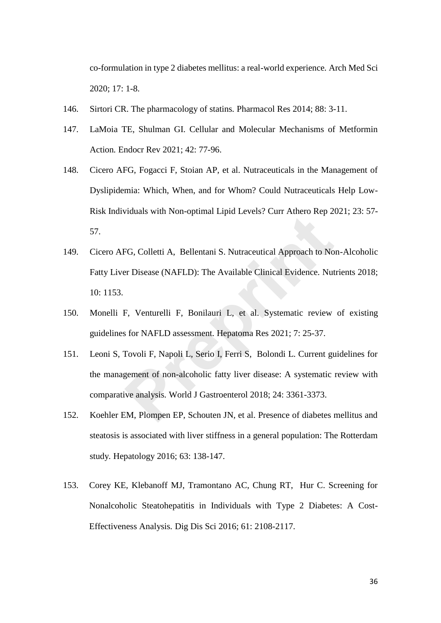co-formulation in type 2 diabetes mellitus: a real-world experience*.* Arch Med Sci 2020; 17: 1-8.

- 146. Sirtori CR. The pharmacology of statins*.* Pharmacol Res 2014; 88: 3-11.
- 147. LaMoia TE, Shulman GI. Cellular and Molecular Mechanisms of Metformin Action*.* Endocr Rev 2021; 42: 77-96.
- 148. Cicero AFG, Fogacci F, Stoian AP, et al. Nutraceuticals in the Management of Dyslipidemia: Which, When, and for Whom? Could Nutraceuticals Help Low-Risk Individuals with Non-optimal Lipid Levels? Curr Athero Rep 2021; 23: 57- 57.
- 149. Cicero AFG, Colletti A, Bellentani S. Nutraceutical Approach to Non-Alcoholic Fatty Liver Disease (NAFLD): The Available Clinical Evidence*.* Nutrients 2018; 10: 1153. **Prediction And Apple 2010** Central Approach to No<br> **Prepriet A.** Bellentani S. Nutraceutical Approach to No<br> **Prepriet A.** Bellentani S. Nutraceutical Evidence. Nut<br> **Prepriet A.** Bonilauri L, et al. Systematic review<br> **P**
- 150. Monelli F, Venturelli F, Bonilauri L, et al. Systematic review of existing guidelines for NAFLD assessment*.* Hepatoma Res 2021; 7: 25-37.
- 151. Leoni S, Tovoli F, Napoli L, Serio I, Ferri S, Bolondi L. Current guidelines for the management of non-alcoholic fatty liver disease: A systematic review with comparative analysis*.* World J Gastroenterol 2018; 24: 3361-3373.
- 152. Koehler EM, Plompen EP, Schouten JN, et al. Presence of diabetes mellitus and steatosis is associated with liver stiffness in a general population: The Rotterdam study*.* Hepatology 2016; 63: 138-147.
- 153. Corey KE, Klebanoff MJ, Tramontano AC, Chung RT, Hur C. Screening for Nonalcoholic Steatohepatitis in Individuals with Type 2 Diabetes: A Cost-Effectiveness Analysis*.* Dig Dis Sci 2016; 61: 2108-2117.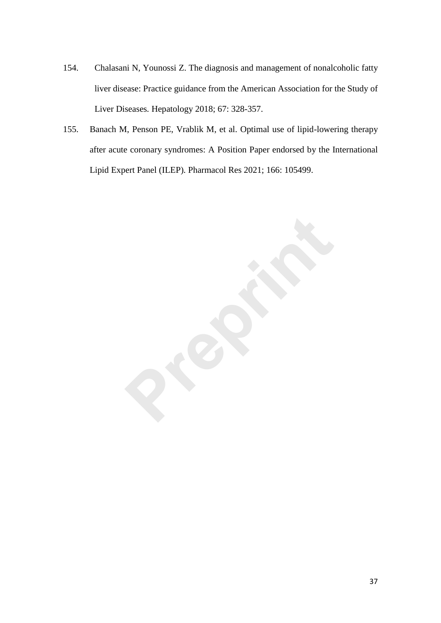- 154. Chalasani N, Younossi Z. The diagnosis and management of nonalcoholic fatty liver disease: Practice guidance from the American Association for the Study of Liver Diseases*.* Hepatology 2018; 67: 328-357.
- 155. Banach M, Penson PE, Vrablik M, et al. Optimal use of lipid-lowering therapy after acute coronary syndromes: A Position Paper endorsed by the International Lipid Expert Panel (ILEP)*.* Pharmacol Res 2021; 166: 105499.